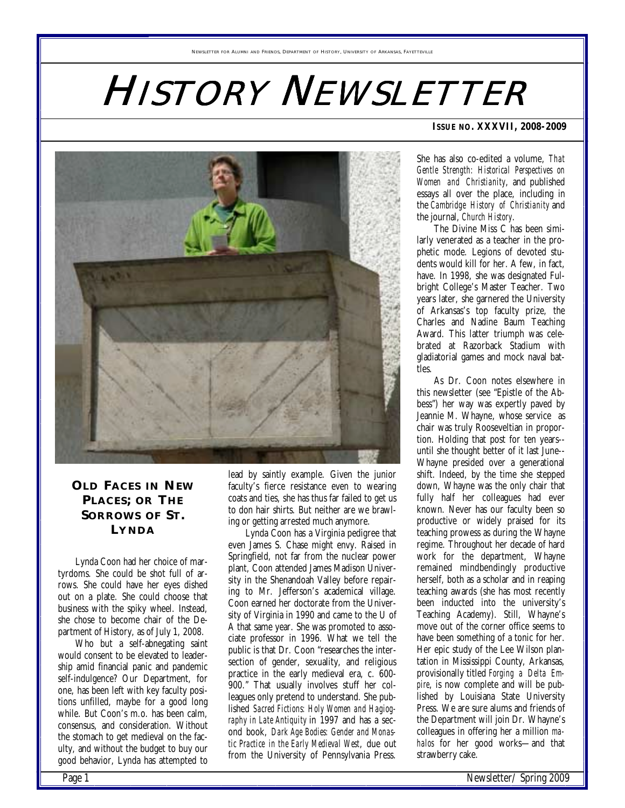# HISTORY NEWSLETTER



# **OLD FACES IN NEW PLACES; OR THE SORROWS OF ST. LYNDA**

Lynda Coon had her choice of martyrdoms. She could be shot full of arrows. She could have her eyes dished out on a plate. She could choose that business with the spiky wheel. Instead, she chose to become chair of the Department of History, as of July 1, 2008.

Who but a self-abnegating saint would consent to be elevated to leadership amid financial panic and pandemic self-indulgence? Our Department, for one, has been left with key faculty positions unfilled, maybe for a good long while. But Coon's m.o. has been calm, consensus, and consideration. Without the stomach to get medieval on the faculty, and without the budget to buy our good behavior, Lynda has attempted to lead by saintly example. Given the junior faculty's fierce resistance even to wearing coats and ties, she has thus far failed to get us to don hair shirts. But neither are we brawling or getting arrested much anymore.

Lynda Coon has a Virginia pedigree that even James S. Chase might envy. Raised in Springfield, not far from the nuclear power plant, Coon attended James Madison University in the Shenandoah Valley before repairing to Mr. Jefferson's academical village. Coon earned her doctorate from the University of Virginia in 1990 and came to the U of A that same year. She was promoted to associate professor in 1996. What we tell the public is that Dr. Coon "researches the intersection of gender, sexuality, and religious practice in the early medieval era, c. 600- 900." That usually involves stuff her colleagues only pretend to understand. She published *Sacred Fictions: Holy Women and Hagiography in Late Antiquity* in 1997 and has a second book, *Dark Age Bodies: Gender and Monastic Practice in the Early Medieval West*, due out from the University of Pennsylvania Press.

#### **ISSUE NO. XXXVII, 2008-2009**

She has also co-edited a volume, *That Gentle Strength: Historical Perspectives on Women and Christianity*, and published essays all over the place, including in the *Cambridge History of Christianity* and the journal, *Church History*.

The Divine Miss C has been similarly venerated as a teacher in the prophetic mode. Legions of devoted students would kill for her. A few, in fact, have. In 1998, she was designated Fulbright College's Master Teacher. Two years later, she garnered the University of Arkansas's top faculty prize, the Charles and Nadine Baum Teaching Award. This latter triumph was celebrated at Razorback Stadium with gladiatorial games and mock naval battles.

As Dr. Coon notes elsewhere in this newsletter (see "Epistle of the Abbess") her way was expertly paved by Jeannie M. Whayne, whose service as chair was truly Rooseveltian in proportion. Holding that post for ten years- until she thought better of it last June-- Whayne presided over a generational shift. Indeed, by the time she stepped down, Whayne was the only chair that fully half her colleagues had ever known. Never has our faculty been so productive or widely praised for its teaching prowess as during the Whayne regime. Throughout her decade of hard work for the department, Whayne remained mindbendingly productive herself, both as a scholar and in reaping teaching awards (she has most recently been inducted into the university's Teaching Academy). Still, Whayne's move out of the corner office seems to have been something of a tonic for her. Her epic study of the Lee Wilson plantation in Mississippi County, Arkansas, provisionally titled *Forging a Delta Empire*, is now complete and will be published by Louisiana State University Press. We are sure alums and friends of the Department will join Dr. Whayne's colleagues in offering her a million *mahalos* for her good works—and that strawberry cake.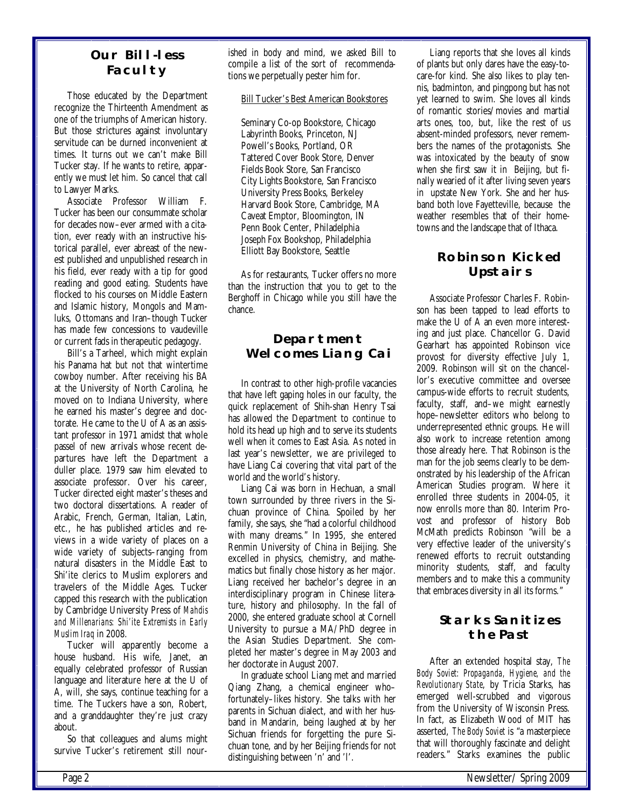### **Our Bill-less Faculty**

Those educated by the Department recognize the Thirteenth Amendment as one of the triumphs of American history. But those strictures against involuntary servitude can be durned inconvenient at times. It turns out we can't make Bill Tucker stay. If he wants to retire, apparently we must let him. So cancel that call to Lawyer Marks.

Associate Professor William F. Tucker has been our consummate scholar for decades now–ever armed with a citation, ever ready with an instructive historical parallel, ever abreast of the newest published and unpublished research in his field, ever ready with a tip for good reading and good eating. Students have flocked to his courses on Middle Eastern and Islamic history, Mongols and Mamluks, Ottomans and Iran–though Tucker has made few concessions to vaudeville or current fads in therapeutic pedagogy.

Bill's a Tarheel, which might explain his Panama hat but not that wintertime cowboy number. After receiving his BA at the University of North Carolina, he moved on to Indiana University, where he earned his master's degree and doctorate. He came to the U of A as an assistant professor in 1971 amidst that whole passel of new arrivals whose recent departures have left the Department a duller place. 1979 saw him elevated to associate professor. Over his career, Tucker directed eight master's theses and two doctoral dissertations. A reader of Arabic, French, German, Italian, Latin, etc., he has published articles and reviews in a wide variety of places on a wide variety of subjects–ranging from natural disasters in the Middle East to Shi'ite clerics to Muslim explorers and travelers of the Middle Ages. Tucker capped this research with the publication by Cambridge University Press of *Mahdis and Millenarians: Shi'ite Extremists in Early Muslim Iraq* in 2008.

Tucker will apparently become a house husband. His wife, Janet, an equally celebrated professor of Russian language and literature here at the U of A, will, she says, continue teaching for a time. The Tuckers have a son, Robert, and a granddaughter they're just crazy about.

So that colleagues and alums might survive Tucker's retirement still nour ished in body and mind, we asked Bill to compile a list of the sort of recommendations we perpetually pester him for.

#### Bill Tucker's Best American Bookstores

Seminary Co-op Bookstore, Chicago Labyrinth Books, Princeton, NJ Powell's Books, Portland, OR Tattered Cover Book Store, Denver Fields Book Store, San Francisco City Lights Bookstore, San Francisco University Press Books, Berkeley Harvard Book Store, Cambridge, MA Caveat Emptor, Bloomington, IN Penn Book Center, Philadelphia Joseph Fox Bookshop, Philadelphia Elliott Bay Bookstore, Seattle

As for restaurants, Tucker offers no more than the instruction that you to get to the Berghoff in Chicago while you still have the chance.

# **Department Welcomes Liang Cai**

In contrast to other high-profile vacancies that have left gaping holes in our faculty, the quick replacement of Shih-shan Henry Tsai has allowed the Department to continue to hold its head up high and to serve its students well when it comes to East Asia. As noted in last year's newsletter, we are privileged to have Liang Cai covering that vital part of the world and the world's history.

Liang Cai was born in Hechuan, a small town surrounded by three rivers in the Sichuan province of China. Spoiled by her family, she says, she "had a colorful childhood with many dreams." In 1995, she entered Renmin University of China in Beijing. She excelled in physics, chemistry, and mathematics but finally chose history as her major. Liang received her bachelor's degree in an interdisciplinary program in Chinese literature, history and philosophy. In the fall of 2000, she entered graduate school at Cornell University to pursue a MA/PhD degree in the Asian Studies Department. She completed her master's degree in May 2003 and her doctorate in August 2007.

In graduate school Liang met and married Qiang Zhang, a chemical engineer who– fortunately–likes history. She talks with her parents in Sichuan dialect, and with her husband in Mandarin, being laughed at by her Sichuan friends for forgetting the pure Sichuan tone, and by her Beijing friends for not distinguishing between 'n' and 'l'.

Liang reports that she loves all kinds of plants but only dares have the easy-tocare-for kind. She also likes to play tennis, badminton, and pingpong but has not yet learned to swim. She loves all kinds of romantic stories/movies and martial arts ones, too, but, like the rest of us absent-minded professors, never remembers the names of the protagonists. She was intoxicated by the beauty of snow when she first saw it in Beijing, but finally wearied of it after living seven years in upstate New York. She and her husband both love Fayetteville, because the weather resembles that of their hometowns and the landscape that of Ithaca.

# **Robinson Kicked Upstairs**

Associate Professor Charles F. Robinson has been tapped to lead efforts to make the U of A an even more interesting and just place. Chancellor G. David Gearhart has appointed Robinson vice provost for diversity effective July 1, 2009. Robinson will sit on the chancellor's executive committee and oversee campus-wide efforts to recruit students, faculty, staff, and–we might earnestly hope–newsletter editors who belong to underrepresented ethnic groups. He will also work to increase retention among those already here. That Robinson is the man for the job seems clearly to be demonstrated by his leadership of the African American Studies program. Where it enrolled three students in 2004-05, it now enrolls more than 80. Interim Provost and professor of history Bob McMath predicts Robinson "will be a very effective leader of the university's renewed efforts to recruit outstanding minority students, staff, and faculty members and to make this a community that embraces diversity in all its forms."

# **Starks Sanitizes the Past**

After an extended hospital stay, *The Body Soviet: Propaganda, Hygiene, and the Revolutionary State*, by Tricia Starks, has emerged well-scrubbed and vigorous from the University of Wisconsin Press. In fact, as Elizabeth Wood of MIT has asserted, *The Body Soviet* is "a masterpiece that will thoroughly fascinate and delight readers." Starks examines the public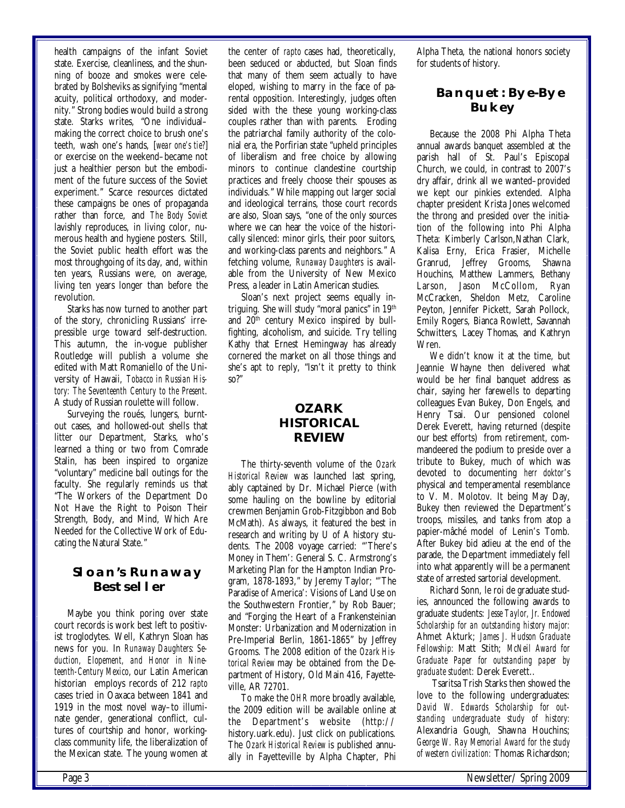health campaigns of the infant Soviet state. Exercise, cleanliness, and the shunning of booze and smokes were celebrated by Bolsheviks as signifying "mental acuity, political orthodoxy, and modernity." Strong bodies would build a strong state. Starks writes, "One individual– making the correct choice to brush one's teeth, wash one's hands, [*wear one's tie?*] or exercise on the weekend–became not just a healthier person but the embodiment of the future success of the Soviet experiment." Scarce resources dictated these campaigns be ones of propaganda rather than force, and *The Body Soviet*  lavishly reproduces, in living color, numerous health and hygiene posters. Still, the Soviet public health effort was the most throughgoing of its day, and, within ten years, Russians were, on average, living ten years longer than before the revolution.

Starks has now turned to another part of the story, chronicling Russians' irrepressible urge toward self-destruction. This autumn, the in-vogue publisher Routledge will publish a volume she edited with Matt Romaniello of the University of Hawaii, *Tobacco in Russian History: The Seventeenth Century to the Present*. A study of Russian roulette will follow.

Surveying the roués, lungers, burntout cases, and hollowed-out shells that litter our Department, Starks, who's learned a thing or two from Comrade Stalin, has been inspired to organize "voluntary" medicine ball outings for the faculty. She regularly reminds us that "The Workers of the Department Do Not Have the Right to Poison Their Strength, Body, and Mind, Which Are Needed for the Collective Work of Educating the Natural State."

# **Sloan's Runaway Bestseller**

Maybe you think poring over state court records is work best left to positivist troglodytes. Well, Kathryn Sloan has news for you. In *Runaway Daughters: Seduction, Elopement, and Honor in Nineteenth-Century Mexico*, our Latin American historian employs records of 212 *rapto*  cases tried in Oaxaca between 1841 and 1919 in the most novel way–to illuminate gender, generational conflict, cultures of courtship and honor, workingclass community life, the liberalization of the Mexican state. The young women at

 the center of *rapto* cases had, theoretically, been seduced or abducted, but Sloan finds that many of them seem actually to have eloped, wishing to marry in the face of parental opposition. Interestingly, judges often sided with the these young working-class couples rather than with parents. Eroding the patriarchal family authority of the colonial era, the Porfirian state "upheld principles of liberalism and free choice by allowing minors to continue clandestine courtship practices and freely choose their spouses as individuals." While mapping out larger social and ideological terrains, those court records are also, Sloan says, "one of the only sources where we can hear the voice of the historically silenced: minor girls, their poor suitors, and working-class parents and neighbors." A fetching volume, *Runaway Daughters* is available from the University of New Mexico Press, a leader in Latin American studies.

Sloan's next project seems equally intriguing. She will study "moral panics" in 19th and 20<sup>th</sup> century Mexico inspired by bullfighting, alcoholism, and suicide. Try telling Kathy that Ernest Hemingway has already cornered the market on all those things and she's apt to reply, "Isn't it pretty to think so?"

# **OZARK HISTORICAL REVIEW**

The thirty-seventh volume of the *Ozark Historical Review* was launched last spring, ably captained by Dr. Michael Pierce (with some hauling on the bowline by editorial crewmen Benjamin Grob-Fitzgibbon and Bob McMath). As always, it featured the best in research and writing by U of A history students. The 2008 voyage carried: "'There's Money in Them': General S. C. Armstrong's Marketing Plan for the Hampton Indian Program, 1878-1893," by Jeremy Taylor; "'The Paradise of America': Visions of Land Use on the Southwestern Frontier," by Rob Bauer; and "Forging the Heart of a Frankensteinian Monster: Urbanization and Modernization in Pre-Imperial Berlin, 1861-1865" by Jeffrey Grooms. The 2008 edition of the *Ozark Historical Review* may be obtained from the Department of History, Old Main 416, Fayetteville, AR 72701.

To make the *OHR* more broadly available, the 2009 edition will be available online at the Department's website (http:// history.uark.edu). Just click on publications. The *Ozark Historical Review* is published annually in Fayetteville by Alpha Chapter, Phi Alpha Theta, the national honors society for students of history.

# **Banquet: Bye-Bye Bukey**

Because the 2008 Phi Alpha Theta annual awards banquet assembled at the parish hall of St. Paul's Episcopal Church, we could, in contrast to 2007's dry affair, drink all we wanted–provided we kept our pinkies extended. Alpha chapter president Krista Jones welcomed the throng and presided over the initiation of the following into Phi Alpha Theta: Kimberly Carlson,Nathan Clark, Kalisa Erny, Erica Frasier, Michelle Granrud, Jeffrey Grooms, Shawna Houchins, Matthew Lammers, Bethany Larson, Jason McCollom, Ryan McCracken, Sheldon Metz, Caroline Peyton, Jennifer Pickett, Sarah Pollock, Emily Rogers, Bianca Rowlett, Savannah Schwitters, Lacey Thomas, and Kathryn Wren.

We didn't know it at the time, but Jeannie Whayne then delivered what would be her final banquet address as chair, saying her farewells to departing colleagues Evan Bukey, Don Engels, and Henry Tsai. Our pensioned colonel Derek Everett, having returned (despite our best efforts) from retirement, commandeered the podium to preside over a tribute to Bukey, much of which was devoted to documenting *herr doktor*'s physical and temperamental resemblance to V. M. Molotov. It being May Day, Bukey then reviewed the Department's troops, missiles, and tanks from atop a papier-mâché model of Lenin's Tomb. After Bukey bid adieu at the end of the parade, the Department immediately fell into what apparently will be a permanent state of arrested sartorial development.

Richard Sonn, le roi de graduate studies, announced the following awards to graduate students: *Jesse Taylor, Jr. Endowed Scholarship for an outstanding history major:*  Ahmet Akturk; *James J. Hudson Graduate Fellowship:* Matt Stith; *McNeil Award for Graduate Paper for outstanding paper by graduate student:* Derek Everett..

 Tsaritsa Trish Starks then showed the love to the following undergraduates: *David W. Edwards Scholarship for outstanding undergraduate study of history:* Alexandria Gough, Shawna Houchins; *George W. Ray Memorial Award for the study of western civilization:* Thomas Richardson;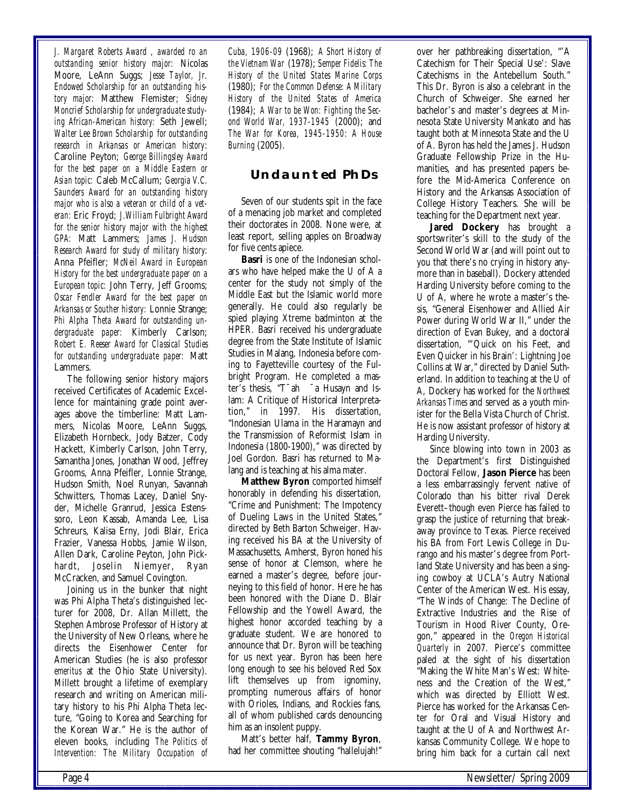*J. Margaret Roberts Award , awarded ro an outstanding senior history major:* Nicolas Moore, LeAnn Suggs; *Jesse Taylor, Jr. Endowed Scholarship for an outstanding history major:* Matthew Flemister; *Sidney Moncrief Scholarship for undergraduate studying African-American history:* Seth Jewell; *Walter Lee Brown Scholarship for outstanding research in Arkansas or American history*: Caroline Peyton; *George Billingsley Award for the best paper on a Middle Eastern or Asian topic:* Caleb McCallum; *Georgia V.C. Saunders Award for an outstanding history major who is also a veteran or child of a veteran:* Eric Froyd; *J.William Fulbright Award for the senior history major with the highest GPA:* Matt Lammers; *James J. Hudson Research Award for study of military history:* Anna Pfeifler; *McNeil Award in European History for the best undergraduate paper on a European topic:* John Terry, Jeff Grooms; *Oscar Fendler Award for the best paper on Arkansas or Souther history:* Lonnie Strange; *Phi Alpha Theta Award for outstanding undergraduate paper:* Kimberly Carlson; *Robert E. Reeser Award for Classical Studies for outstanding undergraduate paper:* Matt Lammers.

The following senior history majors received Certificates of Academic Excellence for maintaining grade point averages above the timberline: Matt Lammers, Nicolas Moore, LeAnn Suggs, Elizabeth Hornbeck, Jody Batzer, Cody Hackett, Kimberly Carlson, John Terry, Samantha Jones, Jonathan Wood, Jeffrey Grooms, Anna Pfeifler, Lonnie Strange, Hudson Smith, Noel Runyan, Savannah Schwitters, Thomas Lacey, Daniel Snyder, Michelle Granrud, Jessica Estenssoro, Leon Kassab, Amanda Lee, Lisa Schreurs, Kalisa Erny, Jodi Blair, Erica Frazier, Vanessa Hobbs, Jamie Wilson, Allen Dark, Caroline Peyton, John Pickhardt, Joselin Niemyer, Ryan McCracken, and Samuel Covington.

Joining us in the bunker that night was Phi Alpha Theta's distinguished lecturer for 2008, Dr. Allan Millett, the Stephen Ambrose Professor of History at the University of New Orleans, where he directs the Eisenhower Center for American Studies (he is also professor *emeritus* at the Ohio State University). Millett brought a lifetime of exemplary research and writing on American military history to his Phi Alpha Theta lecture, "Going to Korea and Searching for the Korean War." He is the author of eleven books, including *The Politics of Intervention: The Military Occupation of*  *Cuba, 1906-09* (1968); *A Short History of the Vietnam War* (1978); *Semper Fidelis: The History of the United States Marine Corps* (1980); *For the Common Defense: A Military History of the United States of America* (1984); *A War to be Won: Fighting the Second World War, 1937-1945* (2000); and *The War for Korea, 1945-1950: A House Burning* (2005).

# **Undaunted PhDs**

Seven of our students spit in the face of a menacing job market and completed their doctorates in 2008. None were, at least report, selling apples on Broadway for five cents apiece.

**Basri** is one of the Indonesian scholars who have helped make the U of A a center for the study not simply of the Middle East but the Islamic world more generally. He could also regularly be spied playing Xtreme badminton at the HPER. Basri received his undergraduate degree from the State Institute of Islamic Studies in Malang, Indonesia before coming to Fayetteville courtesy of the Fulbright Program. He completed a master's thesis, "T<sup>-</sup>ah <sup>-</sup>a Husayn and Islam: A Critique of Historical Interpretation," in 1997. His dissertation, "Indonesian Ulama in the Haramayn and the Transmission of Reformist Islam in Indonesia (1800-1900)," was directed by Joel Gordon. Basri has returned to Malang and is teaching at his alma mater.

**Matthew Byron** comported himself honorably in defending his dissertation, "Crime and Punishment: The Impotency of Dueling Laws in the United States," directed by Beth Barton Schweiger. Having received his BA at the University of Massachusetts, Amherst, Byron honed his sense of honor at Clemson, where he earned a master's degree, before journeying to this field of honor. Here he has been honored with the Diane D. Blair Fellowship and the Yowell Award, the highest honor accorded teaching by a graduate student. We are honored to announce that Dr. Byron will be teaching for us next year. Byron has been here long enough to see his beloved Red Sox lift themselves up from ignominy, prompting numerous affairs of honor with Orioles, Indians, and Rockies fans, all of whom published cards denouncing him as an insolent puppy.

Matt's better half, **Tammy Byron**, had her committee shouting "hallelujah!" over her pathbreaking dissertation, "'A Catechism for Their Special Use': Slave Catechisms in the Antebellum South." This Dr. Byron is also a celebrant in the Church of Schweiger. She earned her bachelor's and master's degrees at Minnesota State University Mankato and has taught both at Minnesota State and the U of A. Byron has held the James J. Hudson Graduate Fellowship Prize in the Humanities, and has presented papers before the Mid-America Conference on History and the Arkansas Association of College History Teachers. She will be teaching for the Department next year.

**Jared Dockery** has brought a sportswriter's skill to the study of the Second World War (and will point out to you that there's no crying in history anymore than in baseball). Dockery attended Harding University before coming to the U of A, where he wrote a master's thesis, "General Eisenhower and Allied Air Power during World War II," under the direction of Evan Bukey, and a doctoral dissertation, "'Quick on his Feet, and Even Quicker in his Brain': Lightning Joe Collins at War," directed by Daniel Sutherland. In addition to teaching at the U of A, Dockery has worked for the *Northwest Arkansas Times* and served as a youth minister for the Bella Vista Church of Christ. He is now assistant professor of history at Harding University.

Since blowing into town in 2003 as the Department's first Distinguished Doctoral Fellow, **Jason Pierce** has been a less embarrassingly fervent native of Colorado than his bitter rival Derek Everett–though even Pierce has failed to grasp the justice of returning that breakaway province to Texas. Pierce received his BA from Fort Lewis College in Durango and his master's degree from Portland State University and has been a singing cowboy at UCLA's Autry National Center of the American West. His essay, "The Winds of Change: The Decline of Extractive Industries and the Rise of Tourism in Hood River County, Oregon," appeared in the *Oregon Historical Quarterly* in 2007. Pierce's committee paled at the sight of his dissertation "Making the White Man's West: Whiteness and the Creation of the West," which was directed by Elliott West. Pierce has worked for the Arkansas Center for Oral and Visual History and taught at the U of A and Northwest Arkansas Community College. We hope to bring him back for a curtain call next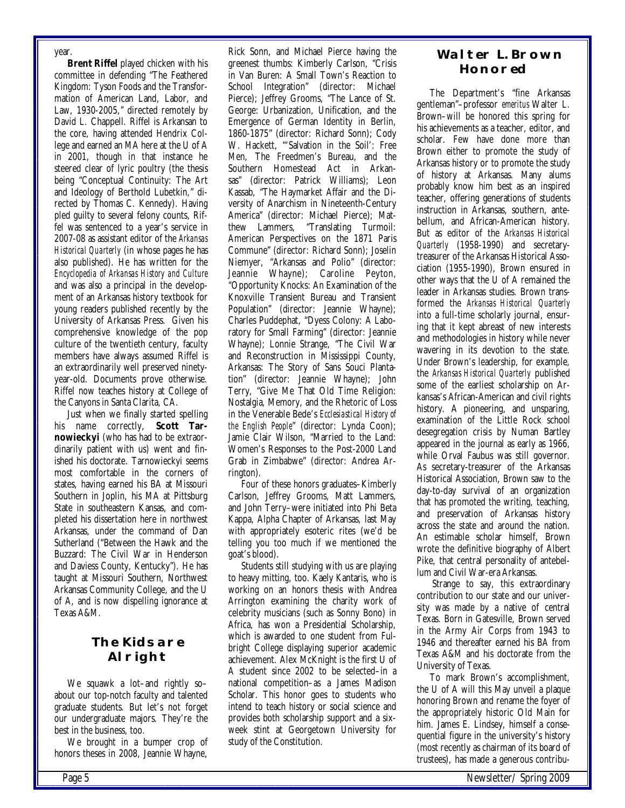year.

**Brent Riffel** played chicken with his committee in defending "The Feathered Kingdom: Tyson Foods and the Transformation of American Land, Labor, and Law, 1930-2005," directed remotely by David L. Chappell. Riffel is Arkansan to the core, having attended Hendrix College and earned an MA here at the U of A in 2001, though in that instance he steered clear of lyric poultry (the thesis being "Conceptual Continuity: The Art and Ideology of Berthold Lubetkin," directed by Thomas C. Kennedy). Having pled guilty to several felony counts, Riffel was sentenced to a year's service in 2007-08 as assistant editor of the *Arkansas Historical Quarterly* (in whose pages he has also published). He has written for the *Encyclopedia of Arkansas History and Culture* and was also a principal in the development of an Arkansas history textbook for young readers published recently by the University of Arkansas Press. Given his comprehensive knowledge of the pop culture of the twentieth century, faculty members have always assumed Riffel is an extraordinarily well preserved ninetyyear-old. Documents prove otherwise. Riffel now teaches history at College of the Canyons in Santa Clarita, CA.

Just when we finally started spelling his name correctly, **Scott Tarnowieckyi** (who has had to be extraordinarily patient with us) went and finished his doctorate. Tarnowieckyi seems most comfortable in the corners of states, having earned his BA at Missouri Southern in Joplin, his MA at Pittsburg State in southeastern Kansas, and completed his dissertation here in northwest Arkansas, under the command of Dan Sutherland ("Between the Hawk and the Buzzard: The Civil War in Henderson and Daviess County, Kentucky"). He has taught at Missouri Southern, Northwest Arkansas Community College, and the U of A, and is now dispelling ignorance at Texas A&M.

# **The Kids are Alright**

We squawk a lot–and rightly so– about our top-notch faculty and talented graduate students. But let's not forget our undergraduate majors. They're the best in the business, too.

We brought in a bumper crop of honors theses in 2008, Jeannie Whayne,

 Rick Sonn, and Michael Pierce having the greenest thumbs: Kimberly Carlson, "Crisis in Van Buren: A Small Town's Reaction to School Integration" (director: Michael Pierce); Jeffrey Grooms, "The Lance of St. George: Urbanization, Unification, and the Emergence of German Identity in Berlin, 1860-1875" (director: Richard Sonn); Cody W. Hackett, "'Salvation in the Soil': Free Men, The Freedmen's Bureau, and the Southern Homestead Act in Arkansas" (director: Patrick Williams); Leon Kassab, "The Haymarket Affair and the Diversity of Anarchism in Nineteenth-Century America" (director: Michael Pierce); Mat-<br>thew Lammers. "Translating Turmoil: "Translating Turmoil: American Perspectives on the 1871 Paris Commune" (director: Richard Sonn); Joselin Niemyer, "Arkansas and Polio" (director: Jeannie Whayne); Caroline Peyton, "Opportunity Knocks: An Examination of the Knoxville Transient Bureau and Transient Population" (director: Jeannie Whayne); Charles Puddephat, "Dyess Colony: A Laboratory for Small Farming" (director: Jeannie Whayne); Lonnie Strange, "The Civil War and Reconstruction in Mississippi County, Arkansas: The Story of Sans Souci Plantation" (director: Jeannie Whayne); John Terry, "Give Me That Old Time Religion: Nostalgia, Memory, and the Rhetoric of Loss in the Venerable Bede's *Ecclesiastical History of the English People*" (director: Lynda Coon); Jamie Clair Wilson, "Married to the Land: Women's Responses to the Post-2000 Land Grab in Zimbabwe" (director: Andrea Arrington).

Four of these honors graduates–Kimberly Carlson, Jeffrey Grooms, Matt Lammers, and John Terry–were initiated into Phi Beta Kappa, Alpha Chapter of Arkansas, last May with appropriately esoteric rites (we'd be telling you too much if we mentioned the goat's blood).

Students still studying with us are playing to heavy mitting, too. Kaely Kantaris, who is working on an honors thesis with Andrea Arrington examining the charity work of celebrity musicians (such as Sonny Bono) in Africa, has won a Presidential Scholarship, which is awarded to one student from Fulbright College displaying superior academic achievement. Alex McKnight is the first U of A student since 2002 to be selected–in a national competition–as a James Madison Scholar. This honor goes to students who intend to teach history or social science and provides both scholarship support and a sixweek stint at Georgetown University for study of the Constitution.

# **Walter L. Brown Honored**

The Department's "fine Arkansas gentleman"–professor *emeritus* Walter L. Brown–will be honored this spring for his achievements as a teacher, editor, and scholar. Few have done more than Brown either to promote the study of Arkansas history or to promote the study of history at Arkansas. Many alums probably know him best as an inspired teacher, offering generations of students instruction in Arkansas, southern, antebellum, and African-American history. But as editor of the *Arkansas Historical Quarterly* (1958-1990) and secretarytreasurer of the Arkansas Historical Association (1955-1990), Brown ensured in other ways that the U of A remained the leader in Arkansas studies. Brown transformed the *Arkansas Historical Quarterly*  into a full-time scholarly journal, ensuring that it kept abreast of new interests and methodologies in history while never wavering in its devotion to the state. Under Brown's leadership, for example, the *Arkansas Historical Quarterly* published some of the earliest scholarship on Arkansas's African-American and civil rights history. A pioneering, and unsparing, examination of the Little Rock school desegregation crisis by Numan Bartley appeared in the journal as early as 1966, while Orval Faubus was still governor. As secretary-treasurer of the Arkansas Historical Association, Brown saw to the day-to-day survival of an organization that has promoted the writing, teaching, and preservation of Arkansas history across the state and around the nation. An estimable scholar himself, Brown wrote the definitive biography of Albert Pike, that central personality of antebellum and Civil War-era Arkansas.

 Strange to say, this extraordinary contribution to our state and our university was made by a native of central Texas. Born in Gatesville, Brown served in the Army Air Corps from 1943 to 1946 and thereafter earned his BA from Texas A&M and his doctorate from the University of Texas.

To mark Brown's accomplishment, the U of A will this May unveil a plaque honoring Brown and rename the foyer of the appropriately historic Old Main for him. James E. Lindsey, himself a consequential figure in the university's history (most recently as chairman of its board of trustees), has made a generous contribu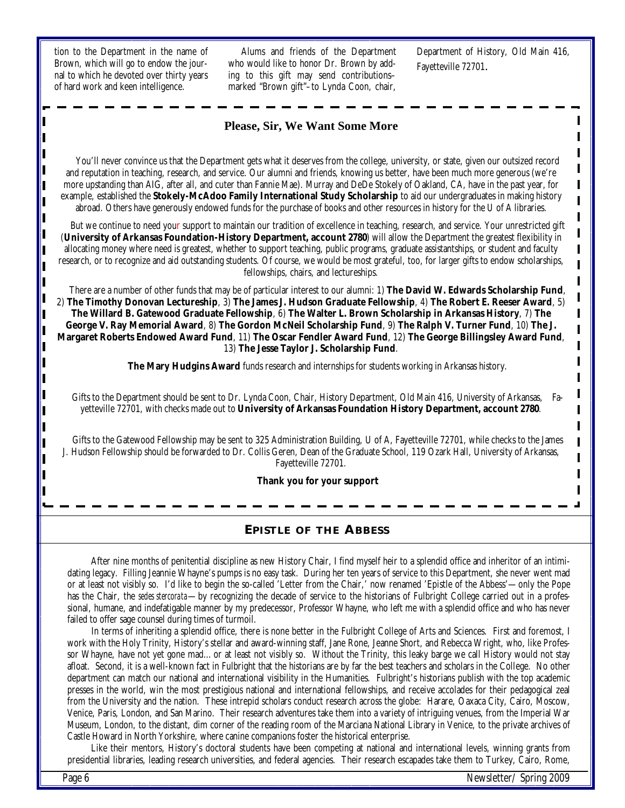tion to the Department in the name of Brown, which will go to endow the journal to which he devoted over thirty years of hard work and keen intelligence.

Alums and friends of the Department who would like to honor Dr. Brown by adding to this gift may send contributions– marked "Brown gift"–to Lynda Coon, chair,

Department of History, Old Main 416, Fayetteville 72701.

> I  $\blacksquare$  $\blacksquare$ I I I

> I I

#### **Please, Sir, We Want Some More**

You'll never convince us that the Department gets what it deserves from the college, university, or state, given our outsized record and reputation in teaching, research, and service. Our alumni and friends, knowing us better, have been much more generous (we're more upstanding than AIG, after all, and cuter than Fannie Mae). Murray and DeDe Stokely of Oakland, CA, have in the past year, for example, established the **Stokely-McAdoo Family International Study Scholarship** to aid our undergraduates in making history abroad. Others have generously endowed funds for the purchase of books and other resources in history for the U of A libraries.

But we continue to need your support to maintain our tradition of excellence in teaching, research, and service. Your unrestricted gift (**University of Arkansas Foundation-History Department, account 2780**) will allow the Department the greatest flexibility in allocating money where need is greatest, whether to support teaching, public programs, graduate assistantships, or student and faculty research, or to recognize and aid outstanding students. Of course, we would be most grateful, too, for larger gifts to endow scholarships, fellowships, chairs, and lectureships.

There are a number of other funds that may be of particular interest to our alumni: 1) **The David W. Edwards Scholarship Fund**, 2) **The Timothy Donovan Lectureship**, 3) **The James J. Hudson Graduate Fellowship**, 4) **The Robert E. Reeser Award**, 5) **The Willard B. Gatewood Graduate Fellowship**, 6) **The Walter L. Brown Scholarship in Arkansas History**, 7) **The George V. Ray Memorial Award**, 8) **The Gordon McNeil Scholarship Fund**, 9) **The Ralph V. Turner Fund**, 10) **The J. Margaret Roberts Endowed Award Fund**, 11) **The Oscar Fendler Award Fund**, 12) **The George Billingsley Award Fund**, 13) **The Jesse Taylor J. Scholarship Fund**.

**The Mary Hudgins Award** funds research and internships for students working in Arkansas history.

Gifts to the Department should be sent to Dr. Lynda Coon, Chair, History Department, Old Main 416, University of Arkansas, Fayetteville 72701, with checks made out to **University of Arkansas Foundation History Department, account 2780**.

Gifts to the Gatewood Fellowship may be sent to 325 Administration Building, U of A, Fayetteville 72701, while checks to the James J. Hudson Fellowship should be forwarded to Dr. Collis Geren, Dean of the Graduate School, 119 Ozark Hall, University of Arkansas, Fayetteville 72701.

#### **Thank you for your support**

#### **EPISTLE OF THE ABBESS**

 After nine months of penitential discipline as new History Chair, I find myself heir to a splendid office and inheritor of an intimidating legacy. Filling Jeannie Whayne's pumps is no easy task. During her ten years of service to this Department, she never went mad or at least not visibly so. I'd like to begin the so-called 'Letter from the Chair,' now renamed 'Epistle of the Abbess'—only the Pope has the Chair, the *sedes stercorata*—by recognizing the decade of service to the historians of Fulbright College carried out in a professional, humane, and indefatigable manner by my predecessor, Professor Whayne, who left me with a splendid office and who has never failed to offer sage counsel during times of turmoil.

In terms of inheriting a splendid office, there is none better in the Fulbright College of Arts and Sciences. First and foremost, I work with the Holy Trinity, History's stellar and award-winning staff, Jane Rone, Jeanne Short, and Rebecca Wright, who, like Professor Whayne, have not yet gone mad…or at least not visibly so. Without the Trinity, this leaky barge we call History would not stay afloat. Second, it is a well-known fact in Fulbright that the historians are by far the best teachers and scholars in the College. No other department can match our national and international visibility in the Humanities. Fulbright's historians publish with the top academic presses in the world, win the most prestigious national and international fellowships, and receive accolades for their pedagogical zeal from the University and the nation. These intrepid scholars conduct research across the globe: Harare, Oaxaca City, Cairo, Moscow, Venice, Paris, London, and San Marino. Their research adventures take them into a variety of intriguing venues, from the Imperial War Museum, London, to the distant, dim corner of the reading room of the Marciana National Library in Venice, to the private archives of Castle Howard in North Yorkshire, where canine companions foster the historical enterprise.

 Like their mentors, History's doctoral students have been competing at national and international levels, winning grants from presidential libraries, leading research universities, and federal agencies. Their research escapades take them to Turkey, Cairo, Rome,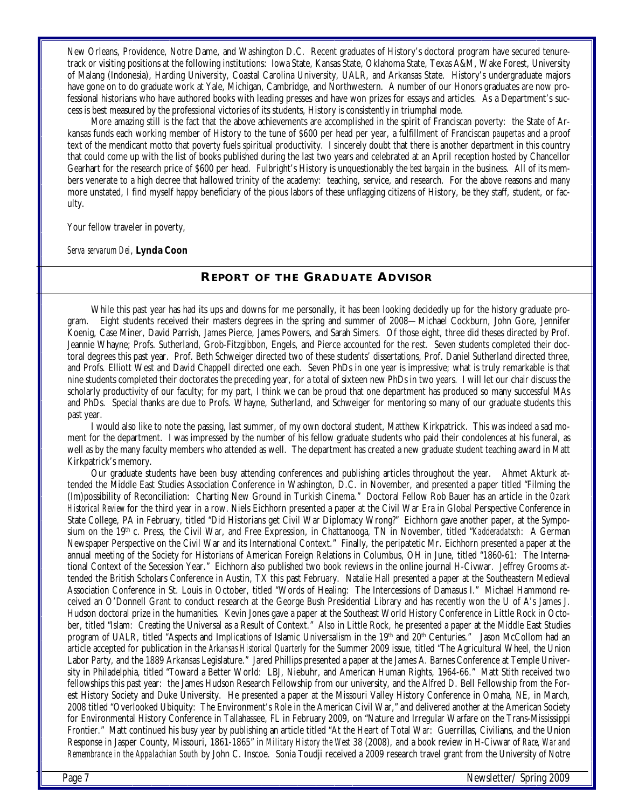New Orleans, Providence, Notre Dame, and Washington D.C. Recent graduates of History's doctoral program have secured tenure track or visiting positions at the following institutions: Iowa State, Kansas State, Oklahoma State, Texas A&M, Wake Forest, University of Malang (Indonesia), Harding University, Coastal Carolina University, UALR, and Arkansas State. History's undergraduate majors have gone on to do graduate work at Yale, Michigan, Cambridge, and Northwestern. A number of our Honors graduates are now professional historians who have authored books with leading presses and have won prizes for essays and articles. As a Department's success is best measured by the professional victories of its students, History is consistently in triumphal mode.

 More amazing still is the fact that the above achievements are accomplished in the spirit of Franciscan poverty: the State of Arkansas funds each working member of History to the tune of \$600 per head per year, a fulfillment of Franciscan *paupertas* and a proof text of the mendicant motto that poverty fuels spiritual productivity. I sincerely doubt that there is another department in this country that could come up with the list of books published during the last two years and celebrated at an April reception hosted by Chancellor Gearhart for the research price of \$600 per head. Fulbright's History is unquestionably the *best bargain* in the business. All of its members venerate to a high decree that hallowed trinity of the academy: teaching, service, and research. For the above reasons and many more unstated, I find myself happy beneficiary of the pious labors of these unflagging citizens of History, be they staff, student, or faculty.

Your fellow traveler in poverty,

*Serva servarum Dei*, **Lynda Coon** 

#### **REPORT OF THE GRADUATE ADVISOR**

I While this past year has had its ups and downs for me personally, it has been looking decidedly up for the history graduate pro-<br>gram. Eight students received their masters degrees in the spring and summer of 2008—Michael Eight students received their masters degrees in the spring and summer of 2008—Michael Cockburn, John Gore, Jennifer Koenig, Case Miner, David Parrish, James Pierce, James Powers, and Sarah Simers. Of those eight, three did theses directed by Prof. Jeannie Whayne; Profs. Sutherland, Grob-Fitzgibbon, Engels, and Pierce accounted for the rest. Seven students completed their doctoral degrees this past year. Prof. Beth Schweiger directed two of these students' dissertations, Prof. Daniel Sutherland directed three, and Profs. Elliott West and David Chappell directed one each. Seven PhDs in one year is impressive; what is truly remarkable is that nine students completed their doctorates the preceding year, for a total of sixteen new PhDs in two years. I will let our chair discuss the scholarly productivity of our faculty; for my part, I think we can be proud that one department has produced so many successful MAs and PhDs. Special thanks are due to Profs. Whayne, Sutherland, and Schweiger for mentoring so many of our graduate students this past year.

 I would also like to note the passing, last summer, of my own doctoral student, Matthew Kirkpatrick. This was indeed a sad moment for the department. I was impressed by the number of his fellow graduate students who paid their condolences at his funeral, as well as by the many faculty members who attended as well. The department has created a new graduate student teaching award in Matt Kirkpatrick's memory.

 Our graduate students have been busy attending conferences and publishing articles throughout the year. Ahmet Akturk attended the Middle East Studies Association Conference in Washington, D.C. in November, and presented a paper titled "Filming the (Im)possibility of Reconciliation: Charting New Ground in Turkish Cinema." Doctoral Fellow Rob Bauer has an article in the *Ozark Historical Review* for the third year in a row. Niels Eichhorn presented a paper at the Civil War Era in Global Perspective Conference in State College, PA in February, titled "Did Historians get Civil War Diplomacy Wrong?" Eichhorn gave another paper, at the Symposium on the 19th c. Press, the Civil War, and Free Expression, in Chattanooga, TN in November, titled "*Kadderadatsch*: A German Newspaper Perspective on the Civil War and its International Context." Finally, the peripatetic Mr. Eichhorn presented a paper at the annual meeting of the Society for Historians of American Foreign Relations in Columbus, OH in June, titled "1860-61: The International Context of the Secession Year." Eichhorn also published two book reviews in the online journal H-Civwar. Jeffrey Grooms attended the British Scholars Conference in Austin, TX this past February. Natalie Hall presented a paper at the Southeastern Medieval Association Conference in St. Louis in October, titled "Words of Healing: The Intercessions of Damasus I." Michael Hammond received an O'Donnell Grant to conduct research at the George Bush Presidential Library and has recently won the U of A's James J. Hudson doctoral prize in the humanities. Kevin Jones gave a paper at the Southeast World History Conference in Little Rock in October, titled "Islam: Creating the Universal as a Result of Context." Also in Little Rock, he presented a paper at the Middle East Studies program of UALR, titled "Aspects and Implications of Islamic Universalism in the 19<sup>th</sup> and 20<sup>th</sup> Centuries." Jason McCollom had an article accepted for publication in the *Arkansas Historical Quarterly* for the Summer 2009 issue, titled "The Agricultural Wheel, the Union Labor Party, and the 1889 Arkansas Legislature." Jared Phillips presented a paper at the James A. Barnes Conference at Temple University in Philadelphia, titled "Toward a Better World: LBJ, Niebuhr, and American Human Rights, 1964-66." Matt Stith received two fellowships this past year: the James Hudson Research Fellowship from our university, and the Alfred D. Bell Fellowship from the Forest History Society and Duke University. He presented a paper at the Missouri Valley History Conference in Omaha, NE, in March, 2008 titled "Overlooked Ubiquity: The Environment's Role in the American Civil War," and delivered another at the American Society for Environmental History Conference in Tallahassee, FL in February 2009, on "Nature and Irregular Warfare on the Trans-Mississippi Frontier." Matt continued his busy year by publishing an article titled "At the Heart of Total War: Guerrillas, Civilians, and the Union Response in Jasper County, Missouri, 1861-1865" in *Military History the West* 38 (2008), and a book review in H-Civwar of *Race, War and Remembrance in the Appalachian South* by John C. Inscoe. Sonia Toudji received a 2009 research travel grant from the University of Notre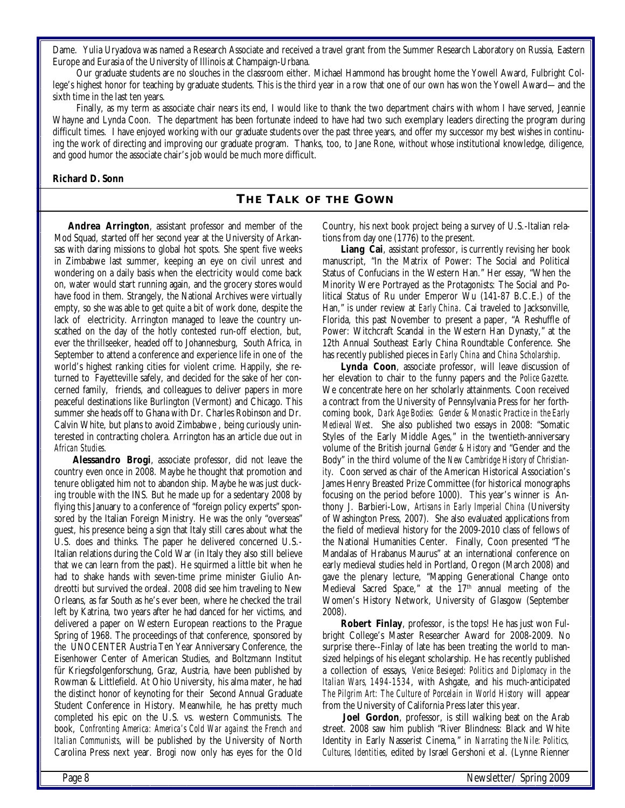Dame. Yulia Uryadova was named a Research Associate and received a travel grant from the Summer Research Laboratory on Russia, Eastern Europe and Eurasia of the University of Illinois at Champaign-Urbana.

 Our graduate students are no slouches in the classroom either. Michael Hammond has brought home the Yowell Award, Fulbright College's highest honor for teaching by graduate students. This is the third year in a row that one of our own has won the Yowell Award—and the sixth time in the last ten years.

 Finally, as my term as associate chair nears its end, I would like to thank the two department chairs with whom I have served, Jeannie Whayne and Lynda Coon. The department has been fortunate indeed to have had two such exemplary leaders directing the program during difficult times. I have enjoyed working with our graduate students over the past three years, and offer my successor my best wishes in continuing the work of directing and improving our graduate program. Thanks, too, to Jane Rone, without whose institutional knowledge, diligence, and good humor the associate chair's job would be much more difficult.

#### **Richard D. Sonn**

#### **THE TALK OF THE GOWN**

**Andrea Arrington**, assistant professor and member of the Mod Squad, started off her second year at the University of Arkansas with daring missions to global hot spots. She spent five weeks in Zimbabwe last summer, keeping an eye on civil unrest and wondering on a daily basis when the electricity would come back on, water would start running again, and the grocery stores would have food in them. Strangely, the National Archives were virtually empty, so she was able to get quite a bit of work done, despite the lack of electricity. Arrington managed to leave the country unscathed on the day of the hotly contested run-off election, but, ever the thrillseeker, headed off to Johannesburg, South Africa, in September to attend a conference and experience life in one of the world's highest ranking cities for violent crime. Happily, she returned to Fayetteville safely, and decided for the sake of her concerned family, friends, and colleagues to deliver papers in more peaceful destinations like Burlington (Vermont) and Chicago. This summer she heads off to Ghana with Dr. Charles Robinson and Dr. Calvin White, but plans to avoid Zimbabwe , being curiously uninterested in contracting cholera. Arrington has an article due out in *African Studies*.

**Alessandro Brogi**, associate professor, did not leave the country even once in 2008. Maybe he thought that promotion and tenure obligated him not to abandon ship. Maybe he was just ducking trouble with the INS. But he made up for a sedentary 2008 by flying this January to a conference of "foreign policy experts" sponsored by the Italian Foreign Ministry. He was the only "overseas" guest, his presence being a sign that Italy still cares about what the U.S. does and thinks. The paper he delivered concerned U.S.- Italian relations during the Cold War (in Italy they also still believe that we can learn from the past). He squirmed a little bit when he had to shake hands with seven-time prime minister Giulio Andreotti but survived the ordeal. 2008 did see him traveling to New Orleans, as far South as he's ever been, where he checked the trail left by Katrina, two years after he had danced for her victims, and delivered a paper on Western European reactions to the Prague Spring of 1968. The proceedings of that conference, sponsored by the UNOCENTER Austria Ten Year Anniversary Conference, the Eisenhower Center of American Studies, and Boltzmann Institut für Kriegsfolgenforschung, Graz, Austria, have been published by Rowman & Littlefield. At Ohio University, his alma mater, he had the distinct honor of keynoting for their Second Annual Graduate Student Conference in History. Meanwhile, he has pretty much completed his epic on the U.S. vs. western Communists. The book, *Confronting America: America's Cold War against the French and Italian Communists*, will be published by the University of North Carolina Press next year. Brogi now only has eyes for the Old Country, his next book project being a survey of U.S.-Italian relations from day one (1776) to the present.

**Liang Cai**, assistant professor, is currently revising her book manuscript, "In the Matrix of Power: The Social and Political Status of Confucians in the Western Han." Her essay, "When the Minority Were Portrayed as the Protagonists: The Social and Political Status of Ru under Emperor Wu (141-87 B.C.E.) of the Han," is under review at *Early China*. Cai traveled to Jacksonville, Florida, this past November to present a paper, "A Reshuffle of Power: Witchcraft Scandal in the Western Han Dynasty," at the 12th Annual Southeast Early China Roundtable Conference. She has recently published pieces in *Early China* and *China Scholarship*.

**Lynda Coon**, associate professor, will leave discussion of her elevation to chair to the funny papers and the *Police Gazette*. We concentrate here on her scholarly attainments. Coon received a contract from the University of Pennsylvania Press for her forthcoming book, *Dark Age Bodies: Gender & Monastic Practice in the Early Medieval West*. She also published two essays in 2008: "Somatic Styles of the Early Middle Ages," in the twentieth-anniversary volume of the British journal *Gender & History* and "Gender and the Body" in the third volume of the *New Cambridge History of Christianity*. Coon served as chair of the American Historical Association's James Henry Breasted Prize Committee (for historical monographs focusing on the period before 1000). This year's winner is Anthony J. Barbieri-Low, *Artisans in Early Imperial China* (University of Washington Press, 2007). She also evaluated applications from the field of medieval history for the 2009-2010 class of fellows of the National Humanities Center. Finally, Coon presented "The Mandalas of Hrabanus Maurus" at an international conference on early medieval studies held in Portland, Oregon (March 2008) and gave the plenary lecture, "Mapping Generational Change onto Medieval Sacred Space," at the 17<sup>th</sup> annual meeting of the Women's History Network, University of Glasgow (September 2008).

**Robert Finlay**, professor, is the tops! He has just won Fulbright College's Master Researcher Award for 2008-2009. No surprise there--Finlay of late has been treating the world to mansized helpings of his elegant scholarship. He has recently published a collection of essays, *Venice Besieged: Politics and Diplomacy in the Italian Wars, 1494-1534*, with Ashgate, and his much-anticipated *The Pilgrim Art: The Culture of Porcelain in World History* will appear from the University of California Press later this year.

 **Joel Gordon**, professor, is still walking beat on the Arab street. 2008 saw him publish "River Blindness: Black and White Identity in Early Nasserist Cinema," in *Narrating the Nile: Politics, Cultures, Identities*, edited by Israel Gershoni et al. (Lynne Rienner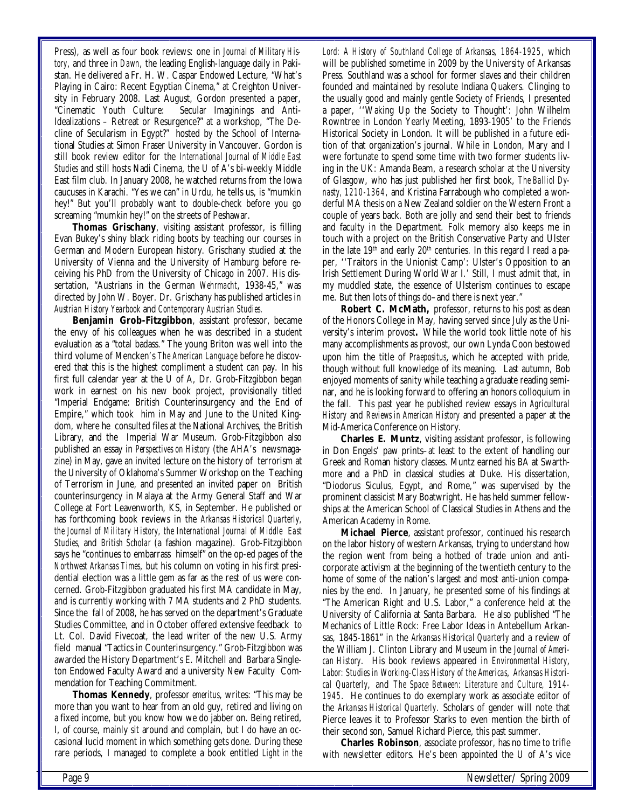Press), as well as four book reviews: one in *Journal of Military History*, and three in *Dawn*, the leading English-language daily in Pakistan. He delivered a Fr. H. W. Caspar Endowed Lecture, "What's Playing in Cairo: Recent Egyptian Cinema," at Creighton University in February 2008. Last August, Gordon presented a paper, "Cinematic Youth Culture: Secular Imaginings and Anti-Idealizations – Retreat or Resurgence?" at a workshop, "The Decline of Secularism in Egypt?" hosted by the School of International Studies at Simon Fraser University in Vancouver. Gordon is still book review editor for the *International Journal of Middle East Studies* and still hosts Nadi Cinema, the U of A's bi-weekly Middle East film club. In January 2008, he watched returns from the Iowa caucuses in Karachi. "Yes we can" in Urdu, he tells us, is "mumkin hey!" But you'll probably want to double-check before you go screaming "mumkin hey!" on the streets of Peshawar.

**Thomas Grischany**, visiting assistant professor, is filling Evan Bukey's shiny black riding boots by teaching our courses in German and Modern European history. Grischany studied at the University of Vienna and the University of Hamburg before receiving his PhD from the University of Chicago in 2007. His dissertation, "Austrians in the German *Wehrmacht*, 1938-45," was directed by John W. Boyer. Dr. Grischany has published articles in *Austrian History Yearbook* and *Contemporary Austrian Studies*.

**Benjamin Grob-Fitzgibbon**, assistant professor, became the envy of his colleagues when he was described in a student evaluation as a "total badass." The young Briton was well into the third volume of Mencken's *The American Language* before he discovered that this is the highest compliment a student can pay. In his first full calendar year at the U of A, Dr. Grob-Fitzgibbon began work in earnest on his new book project, provisionally titled "Imperial Endgame: British Counterinsurgency and the End of Empire," which took him in May and June to the United Kingdom, where he consulted files at the National Archives, the British Library, and the Imperial War Museum. Grob-Fitzgibbon also published an essay in *Perspectives on History* (the AHA's newsmagazine) in May, gave an invited lecture on the history of terrorism at the University of Oklahoma's Summer Workshop on the Teaching of Terrorism in June, and presented an invited paper on British counterinsurgency in Malaya at the Army General Staff and War College at Fort Leavenworth, KS, in September. He published or has forthcoming book reviews in the *Arkansas Historical Quarterly, the Journal of Military History, the International Journal of Middle East Studies,* and *British Scholar* (a fashion magazine). Grob-Fitzgibbon says he "continues to embarrass himself" on the op-ed pages of the *Northwest Arkansas Times*, but his column on voting in his first presidential election was a little gem as far as the rest of us were concerned. Grob-Fitzgibbon graduated his first MA candidate in May, and is currently working with 7 MA students and 2 PhD students. Since the fall of 2008, he has served on the department's Graduate Studies Committee, and in October offered extensive feedback to Lt. Col. David Fivecoat, the lead writer of the new U.S. Army field manual "Tactics in Counterinsurgency." Grob-Fitzgibbon was awarded the History Department's E. Mitchell and Barbara Singleton Endowed Faculty Award and a university New Faculty Commendation for Teaching Commitment.

 **Thomas Kennedy**, professor *emeritus*, writes: "This may be more than you want to hear from an old guy, retired and living on a fixed income, but you know how we do jabber on. Being retired, I, of course, mainly sit around and complain, but I do have an occasional lucid moment in which something gets done. During these rare periods, I managed to complete a book entitled *Light in the*  *Lord: A History of Southland College of Arkansas, 1864-1925*, which will be published sometime in 2009 by the University of Arkansas Press. Southland was a school for former slaves and their children founded and maintained by resolute Indiana Quakers. Clinging to the usually good and mainly gentle Society of Friends, I presented a paper, ''Waking Up the Society to Thought': John Wilhelm Rowntree in London Yearly Meeting, 1893-1905' to the Friends Historical Society in London. It will be published in a future edition of that organization's journal. While in London, Mary and I were fortunate to spend some time with two former students living in the UK: Amanda Beam, a research scholar at the University of Glasgow, who has just published her first book, *The Balliol Dynasty, 1210-1364*, and Kristina Farrabough who completed a wonderful MA thesis on a New Zealand soldier on the Western Front a couple of years back. Both are jolly and send their best to friends and faculty in the Department. Folk memory also keeps me in touch with a project on the British Conservative Party and Ulster in the late  $19<sup>th</sup>$  and early  $20<sup>th</sup>$  centuries. In this regard I read a paper, ''Traitors in the Unionist Camp': Ulster's Opposition to an Irish Settlement During World War I.' Still, I must admit that, in my muddled state, the essence of Ulsterism continues to escape me. But then lots of things do–and there is next year."

**Robert C. McMath,** professor, returns to his post as dean of the Honors College in May, having served since July as the University's interim provost**.** While the world took little note of his many accomplishments as provost, our own Lynda Coon bestowed upon him the title of *Praepositus*, which he accepted with pride, though without full knowledge of its meaning. Last autumn, Bob enjoyed moments of sanity while teaching a graduate reading seminar, and he is looking forward to offering an honors colloquium in the fall. This past year he published review essays in *Agricultural History* and *Reviews in American History* and presented a paper at the Mid-America Conference on History.

**Charles E. Muntz**, visiting assistant professor, is following in Don Engels' paw prints–at least to the extent of handling our Greek and Roman history classes. Muntz earned his BA at Swarthmore and a PhD in classical studies at Duke. His dissertation, "Diodorus Siculus, Egypt, and Rome," was supervised by the prominent classicist Mary Boatwright. He has held summer fellowships at the American School of Classical Studies in Athens and the American Academy in Rome.

**Michael Pierce**, assistant professor, continued his research on the labor history of western Arkansas, trying to understand how the region went from being a hotbed of trade union and anticorporate activism at the beginning of the twentieth century to the home of some of the nation's largest and most anti-union companies by the end. In January, he presented some of his findings at "The American Right and U.S. Labor," a conference held at the University of California at Santa Barbara. He also published "The Mechanics of Little Rock: Free Labor Ideas in Antebellum Arkansas, 1845-1861" in the *Arkansas Historical Quarterly* and a review of the William J. Clinton Library and Museum in the *Journal of American History*. His book reviews appeared in *Environmental History*, *Labor: Studies in Working-Class History of the Americas*, *Arkansas Historical Quarterly*, and *The Space Between: Literature and Culture, 1914- 1945*. He continues to do exemplary work as associate editor of the *Arkansas Historical Quarterly*. Scholars of gender will note that Pierce leaves it to Professor Starks to even mention the birth of their second son, Samuel Richard Pierce, this past summer.

 **Charles Robinson**, associate professor, has no time to trifle with newsletter editors. He's been appointed the U of A's vice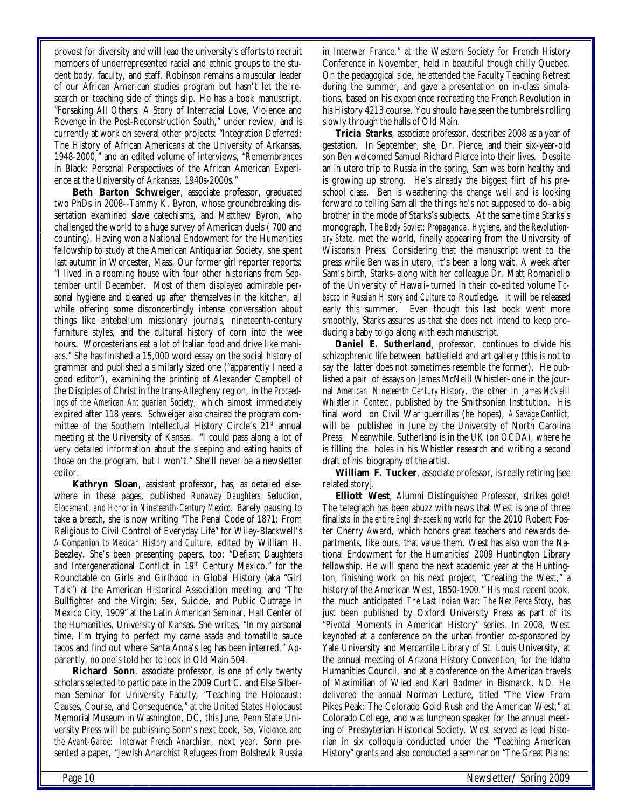provost for diversity and will lead the university's efforts to recruit members of underrepresented racial and ethnic groups to the student body, faculty, and staff. Robinson remains a muscular leader of our African American studies program but hasn't let the research or teaching side of things slip. He has a book manuscript, "Forsaking All Others: A Story of Interracial Love, Violence and Revenge in the Post-Reconstruction South," under review, and is currently at work on several other projects: "Integration Deferred: The History of African Americans at the University of Arkansas, 1948-2000," and an edited volume of interviews, "Remembrances in Black: Personal Perspectives of the African American Experience at the University of Arkansas, 1940s-2000s."

**Beth Barton Schweiger**, associate professor, graduated two PhDs in 2008--Tammy K. Byron, whose groundbreaking dissertation examined slave catechisms, and Matthew Byron, who challenged the world to a huge survey of American duels ( 700 and counting). Having won a National Endowment for the Humanities fellowship to study at the American Antiquarian Society, she spent last autumn in Worcester, Mass. Our former girl reporter reports: "I lived in a rooming house with four other historians from September until December. Most of them displayed admirable personal hygiene and cleaned up after themselves in the kitchen, all while offering some disconcertingly intense conversation about things like antebellum missionary journals, nineteenth-century furniture styles, and the cultural history of corn into the wee hours. Worcesterians eat a lot of Italian food and drive like maniacs." She has finished a 15,000 word essay on the social history of grammar and published a similarly sized one ("apparently I need a good editor"), examining the printing of Alexander Campbell of the Disciples of Christ in the trans-Allegheny region, in the *Proceedings of the American Antiquarian Society*, which almost immediately expired after 118 years. Schweiger also chaired the program committee of the Southern Intellectual History Circle's 21<sup>st</sup> annual meeting at the University of Kansas. "I could pass along a lot of very detailed information about the sleeping and eating habits of those on the program, but I won't." She'll never be a newsletter editor.

**Kathryn Sloan**, assistant professor, has, as detailed elsewhere in these pages, published *Runaway Daughters: Seduction, Elopement, and Honor in Nineteenth-Century Mexico*. Barely pausing to take a breath, she is now writing "The Penal Code of 1871: From Religious to Civil Control of Everyday Life" for Wiley-Blackwell's *A Companion to Mexican History and Culture*, edited by William H. Beezley. She's been presenting papers, too: "Defiant Daughters and Intergenerational Conflict in 19th Century Mexico," for the Roundtable on Girls and Girlhood in Global History (aka "Girl Talk") at the American Historical Association meeting, and "The Bullfighter and the Virgin: Sex, Suicide, and Public Outrage in Mexico City, 1909" at the Latin American Seminar, Hall Center of the Humanities, University of Kansas. She writes, "In my personal time, I'm trying to perfect my carne asada and tomatillo sauce tacos and find out where Santa Anna's leg has been interred." Apparently, no one's told her to look in Old Main 504.

**Richard Sonn**, associate professor, is one of only twenty scholars selected to participate in the 2009 Curt C. and Else Silberman Seminar for University Faculty, "Teaching the Holocaust: Causes, Course, and Consequence," at the United States Holocaust Memorial Museum in Washington, DC, this June. Penn State University Press will be publishing Sonn's next book, *Sex, Violence, and the Avant-Garde: Interwar French Anarchism*, next year. Sonn presented a paper, "Jewish Anarchist Refugees from Bolshevik Russia

in Interwar France," at the Western Society for French History Conference in November, held in beautiful though chilly Quebec. On the pedagogical side, he attended the Faculty Teaching Retreat during the summer, and gave a presentation on in-class simulations, based on his experience recreating the French Revolution in his History 4213 course. You should have seen the tumbrels rolling slowly through the halls of Old Main.

**Tricia Starks**, associate professor, describes 2008 as a year of gestation. In September, she, Dr. Pierce, and their six-year-old son Ben welcomed Samuel Richard Pierce into their lives. Despite an in utero trip to Russia in the spring, Sam was born healthy and is growing up strong. He's already the biggest flirt of his preschool class. Ben is weathering the change well and is looking forward to telling Sam all the things he's not supposed to do–a big brother in the mode of Starks's subjects. At the same time Starks's monograph, *The Body Soviet: Propaganda, Hygiene, and the Revolutionary State*, met the world, finally appearing from the University of Wisconsin Press. Considering that the manuscript went to the press while Ben was in utero, it's been a long wait. A week after Sam's birth, Starks–along with her colleague Dr. Matt Romaniello of the University of Hawaii–turned in their co-edited volume *Tobacco in Russian History and Culture* to Routledge. It will be released early this summer. Even though this last book went more smoothly, Starks assures us that she does not intend to keep producing a baby to go along with each manuscript.

**Daniel E. Sutherland**, professor, continues to divide his schizophrenic life between battlefield and art gallery (this is not to say the latter does not sometimes resemble the former). He published a pair of essays on James McNeill Whistler–one in the journal *American Nineteenth Century History*, the other in *James McNeill Whistler in Context*, published by the Smithsonian Institution. His final word on Civil War guerrillas (he hopes), *A Savage Conflict*, will be published in June by the University of North Carolina Press. Meanwhile, Sutherland is in the UK (on OCDA), where he is filling the holes in his Whistler research and writing a second draft of his biography of the artist.

**William F. Tucker**, associate professor, is really retiring [see related story].

**Elliott West**, Alumni Distinguished Professor, strikes gold! The telegraph has been abuzz with news that West is one of three finalists *in the entire English-speaking world* for the 2010 Robert Foster Cherry Award, which honors great teachers and rewards departments, like ours, that value them. West has also won the National Endowment for the Humanities' 2009 Huntington Library fellowship. He will spend the next academic year at the Huntington, finishing work on his next project, "Creating the West," a history of the American West, 1850-1900." His most recent book, the much anticipated *The Last Indian War: The Nez Perce Story*, has just been published by Oxford University Press as part of its "Pivotal Moments in American History" series. In 2008, West keynoted at a conference on the urban frontier co-sponsored by Yale University and Mercantile Library of St. Louis University, at the annual meeting of Arizona History Convention, for the Idaho Humanities Council, and at a conference on the American travels of Maximilian of Wied and Karl Bodmer in Bismarck, ND. He delivered the annual Norman Lecture, titled "The View From Pikes Peak: The Colorado Gold Rush and the American West," at Colorado College, and was luncheon speaker for the annual meeting of Presbyterian Historical Society. West served as lead historian in six colloquia conducted under the "Teaching American History" grants and also conducted a seminar on "The Great Plains: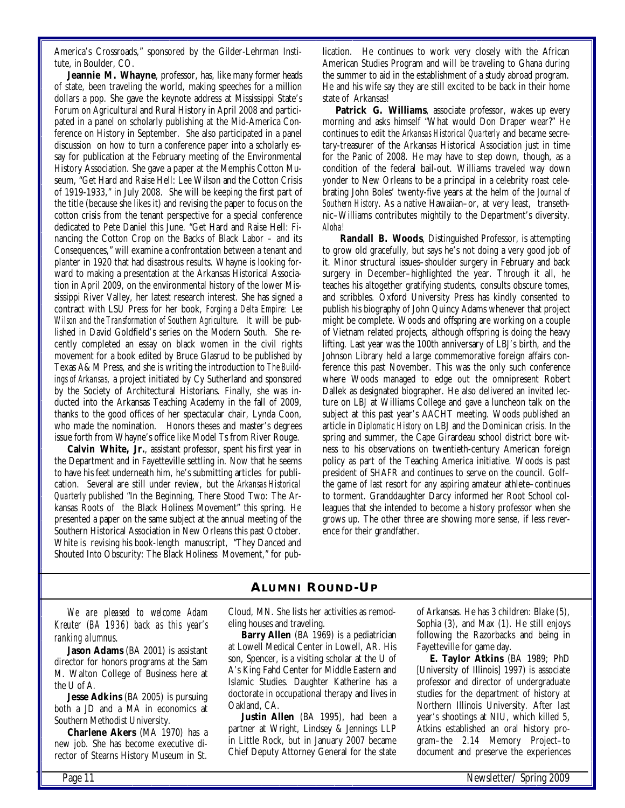America's Crossroads," sponsored by the Gilder-Lehrman Institute, in Boulder, CO.

**Jeannie M. Whayne**, professor, has, like many former heads of state, been traveling the world, making speeches for a million dollars a pop. She gave the keynote address at Mississippi State's Forum on Agricultural and Rural History in April 2008 and participated in a panel on scholarly publishing at the Mid-America Conference on History in September. She also participated in a panel discussion on how to turn a conference paper into a scholarly essay for publication at the February meeting of the Environmental History Association. She gave a paper at the Memphis Cotton Museum, "Get Hard and Raise Hell: Lee Wilson and the Cotton Crisis of 1919-1933," in July 2008. She will be keeping the first part of the title (because she likes it) and revising the paper to focus on the cotton crisis from the tenant perspective for a special conference dedicated to Pete Daniel this June. "Get Hard and Raise Hell: Financing the Cotton Crop on the Backs of Black Labor – and its Consequences," will examine a confrontation between a tenant and planter in 1920 that had disastrous results. Whayne is looking forward to making a presentation at the Arkansas Historical Association in April 2009, on the environmental history of the lower Mississippi River Valley, her latest research interest. She has signed a contract with LSU Press for her book, *Forging a Delta Empire: Lee Wilson and the Transformation of Southern Agriculture.* It will be published in David Goldfield's series on the Modern South. She recently completed an essay on black women in the civil rights movement for a book edited by Bruce Glasrud to be published by Texas A& M Press, and she is writing the introduction to *The Buildings of Arkansas*, a project initiated by Cy Sutherland and sponsored by the Society of Architectural Historians. Finally, she was inducted into the Arkansas Teaching Academy in the fall of 2009, thanks to the good offices of her spectacular chair, Lynda Coon, who made the nomination. Honors theses and master's degrees issue forth from Whayne's office like Model Ts from River Rouge.

**Calvin White, Jr.**, assistant professor, spent his first year in the Department and in Fayetteville settling in. Now that he seems to have his feet underneath him, he's submitting articles for publication. Several are still under review, but the *Arkansas Historical Quarterly* published "In the Beginning, There Stood Two: The Arkansas Roots of the Black Holiness Movement" this spring. He presented a paper on the same subject at the annual meeting of the Southern Historical Association in New Orleans this past October. White is revising his book-length manuscript, "They Danced and Shouted Into Obscurity: The Black Holiness Movement," for publication. He continues to work very closely with the African American Studies Program and will be traveling to Ghana during the summer to aid in the establishment of a study abroad program. He and his wife say they are still excited to be back in their home state of Arkansas!

**Patrick G. Williams**, associate professor, wakes up every morning and asks himself "What would Don Draper wear?" He continues to edit the *Arkansas Historical Quarterly* and became secretary-treasurer of the Arkansas Historical Association just in time for the Panic of 2008. He may have to step down, though, as a condition of the federal bail-out. Williams traveled way down yonder to New Orleans to be a principal in a celebrity roast celebrating John Boles' twenty-five years at the helm of the *Journal of Southern History*. As a native Hawaiian–or, at very least, transethnic–Williams contributes mightily to the Department's diversity. *Aloha!*

**Randall B. Woods**, Distinguished Professor, is attempting to grow old gracefully, but says he's not doing a very good job of it. Minor structural issues–shoulder surgery in February and back surgery in December–highlighted the year. Through it all, he teaches his altogether gratifying students, consults obscure tomes, and scribbles. Oxford University Press has kindly consented to publish his biography of John Quincy Adams whenever that project might be complete. Woods and offspring are working on a couple of Vietnam related projects, although offspring is doing the heavy lifting. Last year was the 100th anniversary of LBJ's birth, and the Johnson Library held a large commemorative foreign affairs conference this past November. This was the only such conference where Woods managed to edge out the omnipresent Robert Dallek as designated biographer. He also delivered an invited lecture on LBJ at Williams College and gave a luncheon talk on the subject at this past year's AACHT meeting. Woods published an article in *Diplomatic History* on LBJ and the Dominican crisis. In the spring and summer, the Cape Girardeau school district bore witness to his observations on twentieth-century American foreign policy as part of the Teaching America initiative. Woods is past president of SHAFR and continues to serve on the council. Golf– the game of last resort for any aspiring amateur athlete–continues to torment. Granddaughter Darcy informed her Root School colleagues that she intended to become a history professor when she grows up. The other three are showing more sense, if less reverence for their grandfather.

# **ALUMNI ROUND-UP**

*We are pleased to welcome Adam Kreuter (BA 1936) back as this year's ranking alumnus*.

Jason Adams (BA 2001) is assistant director for honors programs at the Sam M. Walton College of Business here at the U of A.

**Jesse Adkins** (BA 2005) is pursuing both a JD and a MA in economics at Southern Methodist University.

**Charlene Akers** (MA 1970) has a new job. She has become executive director of Stearns History Museum in St.

Cloud, MN. She lists her activities as remodeling houses and traveling.

**Barry Allen** (BA 1969) is a pediatrician at Lowell Medical Center in Lowell, AR. His son, Spencer, is a visiting scholar at the U of A's King Fahd Center for Middle Eastern and Islamic Studies. Daughter Katherine has a doctorate in occupational therapy and lives in Oakland, CA.

**Justin Allen** (BA 1995), had been a partner at Wright, Lindsey & Jennings LLP in Little Rock, but in January 2007 became Chief Deputy Attorney General for the state of Arkansas. He has 3 children: Blake (5), Sophia (3), and Max (1). He still enjoys following the Razorbacks and being in Fayetteville for game day.

**E. Taylor Atkins** (BA 1989; PhD [University of Illinois] 1997) is associate professor and director of undergraduate studies for the department of history at Northern Illinois University. After last year's shootings at NIU, which killed 5, Atkins established an oral history program–the 2.14 Memory Project–to document and preserve the experiences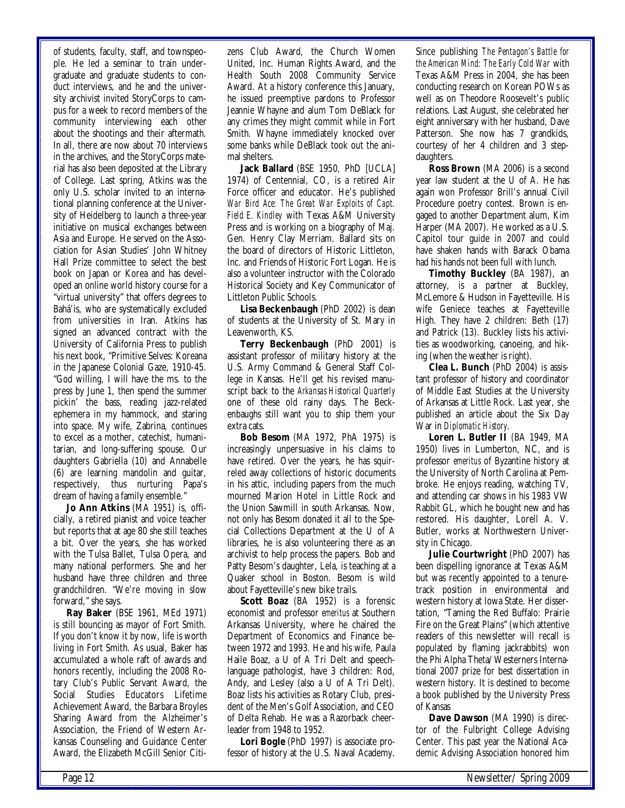of students, faculty, staff, and townspeople. He led a seminar to train undergraduate and graduate students to conduct interviews, and he and the university archivist invited StoryCorps to campus for a week to record members of the community interviewing each other about the shootings and their aftermath. In all, there are now about 70 interviews in the archives, and the StoryCorps material has also been deposited at the Library of College. Last spring, Atkins was the only U.S. scholar invited to an international planning conference at the University of Heidelberg to launch a three-year initiative on musical exchanges between Asia and Europe. He served on the Association for Asian Studies' John Whitney Hall Prize committee to select the best book on Japan or Korea and has developed an online world history course for a "virtual university" that offers degrees to Bahá'is, who are systematically excluded from universities in Iran. Atkins has signed an advanced contract with the University of California Press to publish his next book, "Primitive Selves: Koreana in the Japanese Colonial Gaze, 1910-45. "God willing, I will have the ms. to the press by June 1, then spend the summer pickin' the bass, reading jazz-related ephemera in my hammock, and staring into space. My wife, Zabrina, continues to excel as a mother, catechist, humanitarian, and long-suffering spouse. Our daughters Gabriella (10) and Annabelle (6) are learning mandolin and guitar, respectively, thus nurturing Papa's dream of having a family ensemble."

**Jo Ann Atkins** (MA 1951) is, officially, a retired pianist and voice teacher but reports that at age 80 she still teaches a bit. Over the years, she has worked with the Tulsa Ballet, Tulsa Opera, and many national performers. She and her husband have three children and three grandchildren. "We're moving in slow forward," she says.

**Ray Baker** (BSE 1961, MEd 1971) is still bouncing as mayor of Fort Smith. If you don't know it by now, life is worth living in Fort Smith. As usual, Baker has accumulated a whole raft of awards and honors recently, including the 2008 Rotary Club's Public Servant Award, the Social Studies Educators Lifetime Achievement Award, the Barbara Broyles Sharing Award from the Alzheimer's Association, the Friend of Western Arkansas Counseling and Guidance Center Award, the Elizabeth McGill Senior Citizens Club Award, the Church Women United, Inc. Human Rights Award, and the Health South 2008 Community Service Award. At a history conference this January, he issued preemptive pardons to Professor Jeannie Whayne and alum Tom DeBlack for any crimes they might commit while in Fort Smith. Whayne immediately knocked over some banks while DeBlack took out the animal shelters.

**Jack Ballard** (BSE 1950, PhD [UCLA] 1974) of Centennial, CO, is a retired Air Force officer and educator. He's published *War Bird Ace: The Great War Exploits of Capt. Field E. Kindley* with Texas A&M University Press and is working on a biography of Maj. Gen. Henry Clay Merriam. Ballard sits on the board of directors of Historic Littleton, Inc. and Friends of Historic Fort Logan. He is also a volunteer instructor with the Colorado Historical Society and Key Communicator of Littleton Public Schools.

**Lisa Beckenbaugh** (PhD 2002) is dean of students at the University of St. Mary in Leavenworth, KS.

**Terry Beckenbaugh** (PhD 2001) is assistant professor of military history at the U.S. Army Command & General Staff College in Kansas. He'll get his revised manuscript back to the *Arkansas Historical Quarterly* one of these old rainy days. The Beckenbaughs still want you to ship them your extra cats.

**Bob Besom** (MA 1972, PhA 1975) is increasingly unpersuasive in his claims to have retired. Over the years, he has squirreled away collections of historic documents in his attic, including papers from the much mourned Marion Hotel in Little Rock and the Union Sawmill in south Arkansas. Now, not only has Besom donated it all to the Special Collections Department at the U of A libraries, he is also volunteering there as an archivist to help process the papers. Bob and Patty Besom's daughter, Lela, is teaching at a Quaker school in Boston. Besom is wild about Fayetteville's new bike trails.

**Scott Boaz** (BA 1952) is a forensic economist and professor *emeritus* at Southern Arkansas University, where he chaired the Department of Economics and Finance between 1972 and 1993. He and his wife, Paula Haile Boaz, a U of A Tri Delt and speechlanguage pathologist, have 3 children: Rod, Andy, and Lesley (also a U of A Tri Delt). Boaz lists his activities as Rotary Club, president of the Men's Golf Association, and CEO of Delta Rehab. He was a Razorback cheerleader from 1948 to 1952.

**Lori Bogle** (PhD 1997) is associate professor of history at the U.S. Naval Academy. Since publishing *The Pentagon's Battle for the American Mind: The Early Cold War* with Texas A&M Press in 2004, she has been conducting research on Korean POWs as well as on Theodore Roosevelt's public relations. Last August, she celebrated her eight anniversary with her husband, Dave Patterson. She now has 7 grandkids, courtesy of her 4 children and 3 stepdaughters.

**Ross Brown** (MA 2006) is a second year law student at the U of A. He has again won Professor Brill's annual Civil Procedure poetry contest. Brown is engaged to another Department alum, Kim Harper (MA 2007). He worked as a U.S. Capitol tour guide in 2007 and could have shaken hands with Barack Obama had his hands not been full with lunch.

**Timothy Buckley** (BA 1987), an attorney, is a partner at Buckley, McLemore & Hudson in Fayetteville. His wife Geniece teaches at Fayetteville High. They have 2 children: Beth (17) and Patrick (13). Buckley lists his activities as woodworking, canoeing, and hiking (when the weather is right).

**Clea L. Bunch** (PhD 2004) is assistant professor of history and coordinator of Middle East Studies at the University of Arkansas at Little Rock. Last year, she published an article about the Six Day War in *Diplomatic History*.

**Loren L. Butler II** (BA 1949, MA 1950) lives in Lumberton, NC, and is professor *emeritus* of Byzantine history at the University of North Carolina at Pembroke. He enjoys reading, watching TV, and attending car shows in his 1983 VW Rabbit GL, which he bought new and has restored. His daughter, Lorell A. V. Butler, works at Northwestern University in Chicago.

**Julie Courtwright** (PhD 2007) has been dispelling ignorance at Texas A&M but was recently appointed to a tenuretrack position in environmental and western history at Iowa State. Her dissertation, "Taming the Red Buffalo: Prairie Fire on the Great Plains" (which attentive readers of this newsletter will recall is populated by flaming jackrabbits) won the Phi Alpha Theta/Westerners International 2007 prize for best dissertation in western history. It is destined to become a book published by the University Press of Kansas

**Dave Dawson** (MA 1990) is director of the Fulbright College Advising Center. This past year the National Academic Advising Association honored him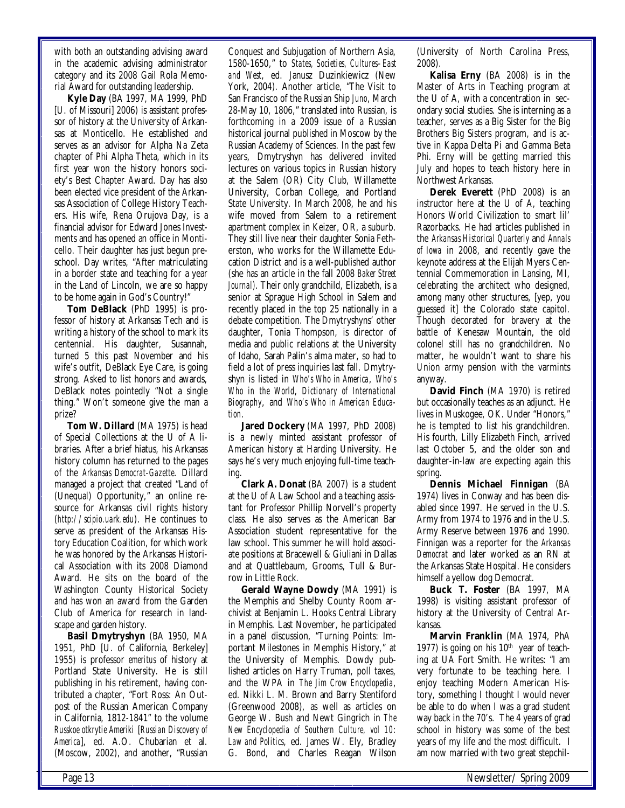with both an outstanding advising award in the academic advising administrator category and its 2008 Gail Rola Memorial Award for outstanding leadership.

**Kyle Day** (BA 1997, MA 1999, PhD [U. of Missouri] 2006) is assistant professor of history at the University of Arkansas at Monticello. He established and serves as an advisor for Alpha Na Zeta chapter of Phi Alpha Theta, which in its first year won the history honors society's Best Chapter Award. Day has also been elected vice president of the Arkansas Association of College History Teachers. His wife, Rena Orujova Day, is a financial advisor for Edward Jones Investments and has opened an office in Monticello. Their daughter has just begun preschool. Day writes, "After matriculating in a border state and teaching for a year in the Land of Lincoln, we are so happy to be home again in God's Country!"

**Tom DeBlack** (PhD 1995) is professor of history at Arkansas Tech and is writing a history of the school to mark its centennial. His daughter, Susannah, turned 5 this past November and his wife's outfit, DeBlack Eye Care, is going strong. Asked to list honors and awards, DeBlack notes pointedly "Not a single thing." Won't someone give the man a prize?

**Tom W. Dillard** (MA 1975) is head of Special Collections at the U of A libraries. After a brief hiatus, his Arkansas history column has returned to the pages of the *Arkansas Democrat-Gazette*. Dillard managed a project that created "Land of (Unequal) Opportunity," an online resource for Arkansas civil rights history (*http://scipio.uark.edu*). He continues to serve as president of the Arkansas History Education Coalition, for which work he was honored by the Arkansas Historical Association with its 2008 Diamond Award. He sits on the board of the Washington County Historical Society and has won an award from the Garden Club of America for research in landscape and garden history.

**Basil Dmytryshyn** (BA 1950, MA 1951, PhD [U. of California, Berkeley] 1955) is professor *emeritus* of history at Portland State University. He is still publishing in his retirement, having contributed a chapter, "Fort Ross: An Outpost of the Russian American Company in California, 1812-1841" to the volume *Russkoe otkrytie Ameriki* [*Russian Discovery of America*], ed. A.O. Chubarian et al. (Moscow, 2002), and another, "Russian

Conquest and Subjugation of Northern Asia, 1580-1650," to *States, Societies, Cultures–East and West*, ed. Janusz Duzinkiewicz (New York, 2004). Another article, "The Visit to San Francisco of the Russian Ship *Juno*, March 28-May 10, 1806," translated into Russian, is forthcoming in a 2009 issue of a Russian historical journal published in Moscow by the Russian Academy of Sciences. In the past few years, Dmytryshyn has delivered invited lectures on various topics in Russian history at the Salem (OR) City Club, Willamette University, Corban College, and Portland State University. In March 2008, he and his wife moved from Salem to a retirement apartment complex in Keizer, OR, a suburb. They still live near their daughter Sonia Fetherston, who works for the Willamette Education District and is a well-published author (she has an article in the fall 2008 *Baker Street Journal)*. Their only grandchild, Elizabeth, is a senior at Sprague High School in Salem and recently placed in the top 25 nationally in a debate competition. The Dmytryshyns' other daughter, Tonia Thompson, is director of media and public relations at the University of Idaho, Sarah Palin's alma mater, so had to field a lot of press inquiries last fall. Dmytryshyn is listed in *Who's Who in America*, *Who's Who in the World*, *Dictionary of International Biography*, and *Who's Who in American Education*.

**Jared Dockery** (MA 1997, PhD 2008) is a newly minted assistant professor of American history at Harding University. He says he's very much enjoying full-time teaching.

**Clark A. Donat** (BA 2007) is a student at the U of A Law School and a teaching assistant for Professor Phillip Norvell's property class. He also serves as the American Bar Association student representative for the law school. This summer he will hold associate positions at Bracewell & Giuliani in Dallas and at Quattlebaum, Grooms, Tull & Burrow in Little Rock.

**Gerald Wayne Dowdy** (MA 1991) is the Memphis and Shelby County Room archivist at Benjamin L. Hooks Central Library in Memphis. Last November, he participated in a panel discussion, "Turning Points: Important Milestones in Memphis History," at the University of Memphis. Dowdy published articles on Harry Truman, poll taxes, and the WPA in *The Jim Crow Encyclopedia*, ed. Nikki L. M. Brown and Barry Stentiford (Greenwood 2008), as well as articles on George W. Bush and Newt Gingrich in *The New Encyclopedia of Southern Culture, vol 10: Law and Politics*, ed. James W. Ely, Bradley G. Bond, and Charles Reagan Wilson

(University of North Carolina Press, 2008).

**Kalisa Erny** (BA 2008) is in the Master of Arts in Teaching program at the U of A, with a concentration in secondary social studies. She is interning as a teacher, serves as a Big Sister for the Big Brothers Big Sisters program, and is active in Kappa Delta Pi and Gamma Beta Phi. Erny will be getting married this July and hopes to teach history here in Northwest Arkansas.

**Derek Everett** (PhD 2008) is an instructor here at the U of A, teaching Honors World Civilization to smart lil' Razorbacks. He had articles published in the *Arkansas Historical Quarterly* and *Annals of Iowa* in 2008, and recently gave the keynote address at the Elijah Myers Centennial Commemoration in Lansing, MI, celebrating the architect who designed, among many other structures, [yep, you guessed it] the Colorado state capitol. Though decorated for bravery at the battle of Kenesaw Mountain, the old colonel still has no grandchildren. No matter, he wouldn't want to share his Union army pension with the varmints anyway.

**David Finch** (MA 1970) is retired but occasionally teaches as an adjunct. He lives in Muskogee, OK. Under "Honors," he is tempted to list his grandchildren. His fourth, Lilly Elizabeth Finch, arrived last October 5, and the older son and daughter-in-law are expecting again this spring.

**Dennis Michael Finnigan** (BA 1974) lives in Conway and has been disabled since 1997. He served in the U.S. Army from 1974 to 1976 and in the U.S. Army Reserve between 1976 and 1990. Finnigan was a reporter for the *Arkansas Democrat* and later worked as an RN at the Arkansas State Hospital. He considers himself a yellow dog Democrat.

**Buck T. Foster** (BA 1997, MA 1998) is visiting assistant professor of history at the University of Central Arkansas.

**Marvin Franklin** (MA 1974, PhA 1977) is going on his  $10<sup>th</sup>$  year of teaching at UA Fort Smith. He writes: "I am very fortunate to be teaching here. I enjoy teaching Modern American History, something I thought I would never be able to do when I was a grad student way back in the 70's. The 4 years of grad school in history was some of the best years of my life and the most difficult. I am now married with two great stepchil-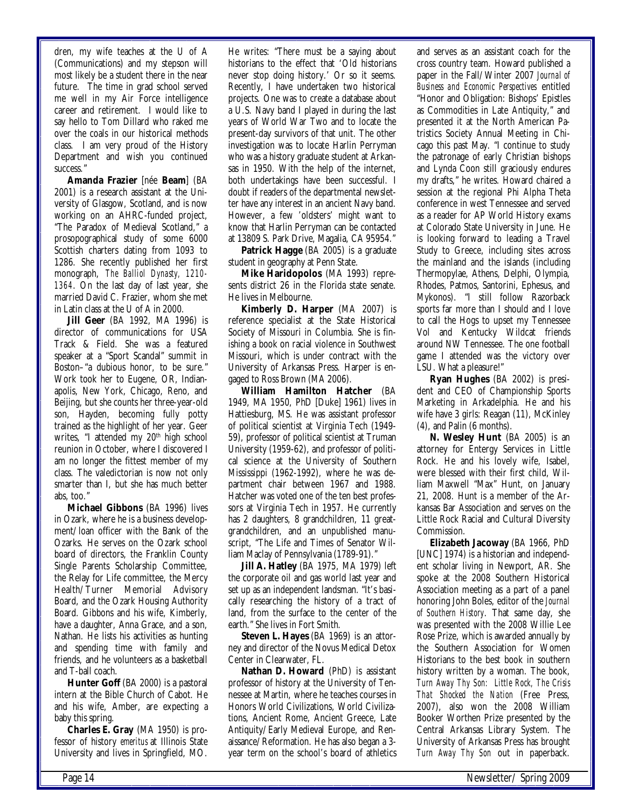dren, my wife teaches at the U of A (Communications) and my stepson will most likely be a student there in the near future. The time in grad school served me well in my Air Force intelligence career and retirement. I would like to say hello to Tom Dillard who raked me over the coals in our historical methods class. I am very proud of the History Department and wish you continued success."

**Amanda Frazier** [née **Beam**] (BA 2001) is a research assistant at the University of Glasgow, Scotland, and is now working on an AHRC-funded project, "The Paradox of Medieval Scotland," a prosopographical study of some 6000 Scottish charters dating from 1093 to 1286. She recently published her first monograph, *The Balliol Dynasty, 1210- 1364*. On the last day of last year, she married David C. Frazier, whom she met in Latin class at the U of A in 2000.

**Jill Geer** (BA 1992, MA 1996) is director of communications for USA Track & Field. She was a featured speaker at a "Sport Scandal" summit in Boston–"a dubious honor, to be sure." Work took her to Eugene, OR, Indianapolis, New York, Chicago, Reno, and Beijing, but she counts her three-year-old son, Hayden, becoming fully potty trained as the highlight of her year. Geer writes, "I attended my 20<sup>th</sup> high school reunion in October, where I discovered I am no longer the fittest member of my class. The valedictorian is now not only smarter than I, but she has much better abs, too."

**Michael Gibbons** (BA 1996) lives in Ozark, where he is a business development/loan officer with the Bank of the Ozarks. He serves on the Ozark school board of directors, the Franklin County Single Parents Scholarship Committee, the Relay for Life committee, the Mercy Health/Turner Memorial Advisory Board, and the Ozark Housing Authority Board. Gibbons and his wife, Kimberly, have a daughter, Anna Grace, and a son, Nathan. He lists his activities as hunting and spending time with family and friends, and he volunteers as a basketball and T-ball coach.

**Hunter Goff** (BA 2000) is a pastoral intern at the Bible Church of Cabot. He and his wife, Amber, are expecting a baby this spring.

**Charles E. Gray** (MA 1950) is professor of history *emeritus* at Illinois State University and lives in Springfield, MO. He writes: "There must be a saying about historians to the effect that 'Old historians never stop doing history.' Or so it seems. Recently, I have undertaken two historical projects. One was to create a database about a U.S. Navy band I played in during the last years of World War Two and to locate the present-day survivors of that unit. The other investigation was to locate Harlin Perryman who was a history graduate student at Arkansas in 1950. With the help of the internet, both undertakings have been successful. I doubt if readers of the departmental newsletter have any interest in an ancient Navy band. However, a few 'oldsters' might want to know that Harlin Perryman can be contacted at 13809 S. Park Drive, Magalia, CA 95954."

**Patrick Hagge** (BA 2005) is a graduate student in geography at Penn State.

**Mike Haridopolos** (MA 1993) represents district 26 in the Florida state senate. He lives in Melbourne.

**Kimberly D. Harper** (MA 2007) is reference specialist at the State Historical Society of Missouri in Columbia. She is finishing a book on racial violence in Southwest Missouri, which is under contract with the University of Arkansas Press. Harper is engaged to Ross Brown (MA 2006).

**William Hamilton Hatcher** (BA 1949, MA 1950, PhD [Duke] 1961) lives in Hattiesburg, MS. He was assistant professor of political scientist at Virginia Tech (1949- 59), professor of political scientist at Truman University (1959-62), and professor of political science at the University of Southern Mississippi (1962-1992), where he was department chair between 1967 and 1988. Hatcher was voted one of the ten best professors at Virginia Tech in 1957. He currently has 2 daughters, 8 grandchildren, 11 greatgrandchildren, and an unpublished manuscript, "The Life and Times of Senator William Maclay of Pennsylvania (1789-91)."

**Jill A. Hatley** (BA 1975, MA 1979) left the corporate oil and gas world last year and set up as an independent landsman. "It's basically researching the history of a tract of land, from the surface to the center of the earth." She lives in Fort Smith.

**Steven L. Hayes** (BA 1969) is an attorney and director of the Novus Medical Detox Center in Clearwater, FL.

**Nathan D. Howard** (PhD) is assistant professor of history at the University of Tennessee at Martin, where he teaches courses in Honors World Civilizations, World Civilizations, Ancient Rome, Ancient Greece, Late Antiquity/Early Medieval Europe, and Renaissance/Reformation. He has also began a 3 year term on the school's board of athletics

and serves as an assistant coach for the cross country team. Howard published a paper in the Fall/Winter 2007 *Journal of Business and Economic Perspectives* entitled "Honor and Obligation: Bishops' Epistles as Commodities in Late Antiquity," and presented it at the North American Patristics Society Annual Meeting in Chicago this past May. "I continue to study the patronage of early Christian bishops and Lynda Coon still graciously endures my drafts," he writes. Howard chaired a session at the regional Phi Alpha Theta conference in west Tennessee and served as a reader for AP World History exams at Colorado State University in June. He is looking forward to leading a Travel Study to Greece, including sites across the mainland and the islands (including Thermopylae, Athens, Delphi, Olympia, Rhodes, Patmos, Santorini, Ephesus, and Mykonos). "I still follow Razorback sports far more than I should and I love to call the Hogs to upset my Tennessee Vol and Kentucky Wildcat friends around NW Tennessee. The one football game I attended was the victory over LSU. What a pleasure!"

**Ryan Hughes** (BA 2002) is president and CEO of Championship Sports Marketing in Arkadelphia. He and his wife have 3 girls: Reagan (11), McKinley (4), and Palin (6 months).

**N. Wesley Hunt** (BA 2005) is an attorney for Entergy Services in Little Rock. He and his lovely wife, Isabel, were blessed with their first child, William Maxwell "Max" Hunt, on January 21, 2008. Hunt is a member of the Arkansas Bar Association and serves on the Little Rock Racial and Cultural Diversity Commission.

**Elizabeth Jacoway** (BA 1966, PhD [UNC] 1974) is a historian and independent scholar living in Newport, AR. She spoke at the 2008 Southern Historical Association meeting as a part of a panel honoring John Boles, editor of the *Journal of Southern History*. That same day, she was presented with the 2008 Willie Lee Rose Prize, which is awarded annually by the Southern Association for Women Historians to the best book in southern history written by a woman. The book, *Turn Away Thy Son: Little Rock, The Crisis That Shocked the Nation* (Free Press, 2007), also won the 2008 William Booker Worthen Prize presented by the Central Arkansas Library System. The University of Arkansas Press has brought *Turn Away Thy Son* out in paperback.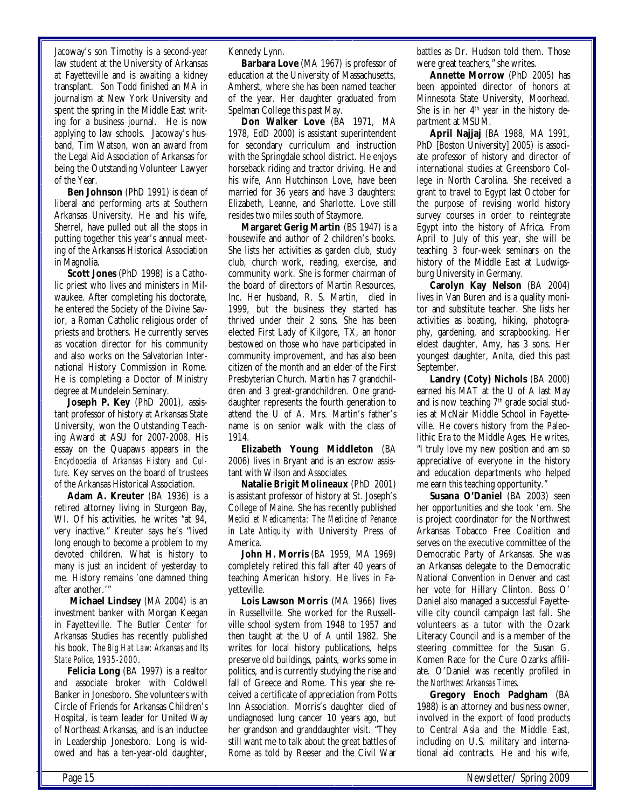Jacoway's son Timothy is a second-year law student at the University of Arkansas at Fayetteville and is awaiting a kidney transplant. Son Todd finished an MA in journalism at New York University and spent the spring in the Middle East writing for a business journal. He is now applying to law schools. Jacoway's husband, Tim Watson, won an award from the Legal Aid Association of Arkansas for being the Outstanding Volunteer Lawyer of the Year.

**Ben Johnson** (PhD 1991) is dean of liberal and performing arts at Southern Arkansas University. He and his wife, Sherrel, have pulled out all the stops in putting together this year's annual meeting of the Arkansas Historical Association in Magnolia.

**Scott Jones** (PhD 1998) is a Catholic priest who lives and ministers in Milwaukee. After completing his doctorate, he entered the Society of the Divine Savior, a Roman Catholic religious order of priests and brothers. He currently serves as vocation director for his community and also works on the Salvatorian International History Commission in Rome. He is completing a Doctor of Ministry degree at Mundelein Seminary.

**Joseph P. Key** (PhD 2001), assistant professor of history at Arkansas State University, won the Outstanding Teaching Award at ASU for 2007-2008. His essay on the Quapaws appears in the *Encyclopedia of Arkansas History and Culture*. Key serves on the board of trustees of the Arkansas Historical Association.

**Adam A. Kreuter** (BA 1936) is a retired attorney living in Sturgeon Bay, WI. Of his activities, he writes "at 94, very inactive." Kreuter says he's "lived long enough to become a problem to my devoted children. What is history to many is just an incident of yesterday to me. History remains 'one damned thing after another.'"

**Michael Lindsey** (MA 2004) is an investment banker with Morgan Keegan in Fayetteville. The Butler Center for Arkansas Studies has recently published his book, *The Big Hat Law: Arkansas and Its State Police, 1935-2000*.

**Felicia Long** (BA 1997) is a realtor and associate broker with Coldwell Banker in Jonesboro. She volunteers with Circle of Friends for Arkansas Children's Hospital, is team leader for United Way of Northeast Arkansas, and is an inductee in Leadership Jonesboro. Long is widowed and has a ten-year-old daughter, Kennedy Lynn.

**Barbara Love** (MA 1967) is professor of education at the University of Massachusetts, Amherst, where she has been named teacher of the year. Her daughter graduated from Spelman College this past May.

**Don Walker Love** (BA 1971, MA 1978, EdD 2000) is assistant superintendent for secondary curriculum and instruction with the Springdale school district. He enjoys horseback riding and tractor driving. He and his wife, Ann Hutchinson Love, have been married for 36 years and have 3 daughters: Elizabeth, Leanne, and Sharlotte. Love still resides two miles south of Staymore.

**Margaret Gerig Martin** (BS 1947) is a housewife and author of 2 children's books. She lists her activities as garden club, study club, church work, reading, exercise, and community work. She is former chairman of the board of directors of Martin Resources, Inc. Her husband, R. S. Martin, died in 1999, but the business they started has thrived under their 2 sons. She has been elected First Lady of Kilgore, TX, an honor bestowed on those who have participated in community improvement, and has also been citizen of the month and an elder of the First Presbyterian Church. Martin has 7 grandchildren and 3 great-grandchildren. One granddaughter represents the fourth generation to attend the U of A. Mrs. Martin's father's name is on senior walk with the class of 1914.

**Elizabeth Young Middleton** (BA 2006) lives in Bryant and is an escrow assistant with Wilson and Associates.

**Natalie Brigit Molineaux** (PhD 2001) is assistant professor of history at St. Joseph's College of Maine. She has recently published *Medici et Medicamenta: The Medicine of Penance in Late Antiquity* with University Press of America.

**John H. Morris** (BA 1959, MA 1969) completely retired this fall after 40 years of teaching American history. He lives in Fayetteville.

**Lois Lawson Morris** (MA 1966) lives in Russellville. She worked for the Russellville school system from 1948 to 1957 and then taught at the U of A until 1982. She writes for local history publications, helps preserve old buildings, paints, works some in politics, and is currently studying the rise and fall of Greece and Rome. This year she received a certificate of appreciation from Potts Inn Association. Morris's daughter died of undiagnosed lung cancer 10 years ago, but her grandson and granddaughter visit. "They still want me to talk about the great battles of Rome as told by Reeser and the Civil War

battles as Dr. Hudson told them. Those were great teachers," she writes.

**Annette Morrow** (PhD 2005) has been appointed director of honors at Minnesota State University, Moorhead. She is in her  $4<sup>th</sup>$  year in the history department at MSUM.

**April Najjaj** (BA 1988, MA 1991, PhD [Boston University] 2005) is associate professor of history and director of international studies at Greensboro College in North Carolina. She received a grant to travel to Egypt last October for the purpose of revising world history survey courses in order to reintegrate Egypt into the history of Africa. From April to July of this year, she will be teaching 3 four-week seminars on the history of the Middle East at Ludwigsburg University in Germany.

**Carolyn Kay Nelson** (BA 2004) lives in Van Buren and is a quality monitor and substitute teacher. She lists her activities as boating, hiking, photography, gardening, and scrapbooking. Her eldest daughter, Amy, has 3 sons. Her youngest daughter, Anita, died this past September.

**Landry (Coty) Nichols** (BA 2000) earned his MAT at the U of A last May and is now teaching  $7<sup>th</sup>$  grade social studies at McNair Middle School in Fayetteville. He covers history from the Paleolithic Era to the Middle Ages. He writes, "I truly love my new position and am so appreciative of everyone in the history and education departments who helped me earn this teaching opportunity."

**Susana O'Daniel** (BA 2003) seen her opportunities and she took 'em. She is project coordinator for the Northwest Arkansas Tobacco Free Coalition and serves on the executive committee of the Democratic Party of Arkansas. She was an Arkansas delegate to the Democratic National Convention in Denver and cast her vote for Hillary Clinton. Boss O' Daniel also managed a successful Fayetteville city council campaign last fall. She volunteers as a tutor with the Ozark Literacy Council and is a member of the steering committee for the Susan G. Komen Race for the Cure Ozarks affiliate. O'Daniel was recently profiled in the *Northwest Arkansas Times*.

**Gregory Enoch Padgham** (BA 1988) is an attorney and business owner, involved in the export of food products to Central Asia and the Middle East, including on U.S. military and international aid contracts. He and his wife,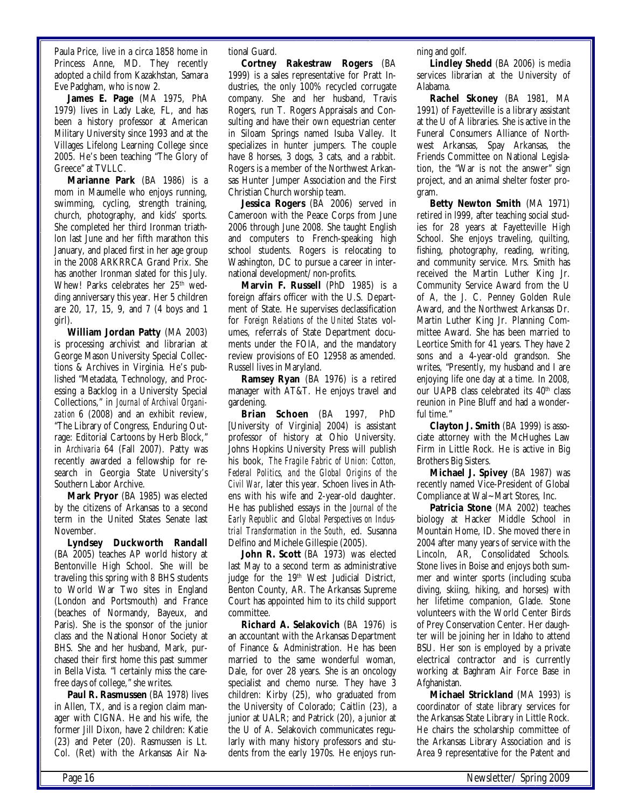Paula Price, live in a circa 1858 home in Princess Anne, MD. They recently adopted a child from Kazakhstan, Samara Eve Padgham, who is now 2.

**James E. Page** (MA 1975, PhA 1979) lives in Lady Lake, FL, and has been a history professor at American Military University since 1993 and at the Villages Lifelong Learning College since 2005. He's been teaching "The Glory of Greece" at TVLLC.

**Marianne Park** (BA 1986) is a mom in Maumelle who enjoys running, swimming, cycling, strength training, church, photography, and kids' sports. She completed her third Ironman triathlon last June and her fifth marathon this January, and placed first in her age group in the 2008 ARKRRCA Grand Prix. She has another Ironman slated for this July. Whew! Parks celebrates her 25<sup>th</sup> wedding anniversary this year. Her 5 children are 20, 17, 15, 9, and 7 (4 boys and 1 girl).

**William Jordan Patty** (MA 2003) is processing archivist and librarian at George Mason University Special Collections & Archives in Virginia. He's published "Metadata, Technology, and Processing a Backlog in a University Special Collections," in *Journal of Archival Organization* 6 (2008) and an exhibit review, "The Library of Congress, Enduring Outrage: Editorial Cartoons by Herb Block," in *Archivaria* 64 (Fall 2007). Patty was recently awarded a fellowship for research in Georgia State University's Southern Labor Archive.

**Mark Pryor** (BA 1985) was elected by the citizens of Arkansas to a second term in the United States Senate last November.

**Lyndsey Duckworth Randall**  (BA 2005) teaches AP world history at Bentonville High School. She will be traveling this spring with 8 BHS students to World War Two sites in England (London and Portsmouth) and France (beaches of Normandy, Bayeux, and Paris). She is the sponsor of the junior class and the National Honor Society at BHS. She and her husband, Mark, purchased their first home this past summer in Bella Vista. "I certainly miss the carefree days of college," she writes.

Paul R. Rasmussen (BA 1978) lives in Allen, TX, and is a region claim manager with CIGNA. He and his wife, the former Jill Dixon, have 2 children: Katie (23) and Peter (20). Rasmussen is Lt. Col. (Ret) with the Arkansas Air National Guard.

**Cortney Rakestraw Rogers** (BA 1999) is a sales representative for Pratt Industries, the only 100% recycled corrugate company. She and her husband, Travis Rogers, run T. Rogers Appraisals and Consulting and have their own equestrian center in Siloam Springs named Isuba Valley. It specializes in hunter jumpers. The couple have 8 horses, 3 dogs, 3 cats, and a rabbit. Rogers is a member of the Northwest Arkansas Hunter Jumper Association and the First Christian Church worship team.

**Jessica Rogers** (BA 2006) served in Cameroon with the Peace Corps from June 2006 through June 2008. She taught English and computers to French-speaking high school students. Rogers is relocating to Washington, DC to pursue a career in international development/non-profits.

**Marvin F. Russell** (PhD 1985) is a foreign affairs officer with the U.S. Department of State. He supervises declassification for *Foreign Relations of the United States* volumes, referrals of State Department documents under the FOIA, and the mandatory review provisions of EO 12958 as amended. Russell lives in Maryland.

**Ramsey Ryan** (BA 1976) is a retired manager with AT&T. He enjoys travel and gardening.

**Brian Schoen** (BA 1997, PhD [University of Virginia] 2004) is assistant professor of history at Ohio University. Johns Hopkins University Press will publish his book, *The Fragile Fabric of Union: Cotton, Federal Politics, and the Global Origins of the Civil War*, later this year. Schoen lives in Athens with his wife and 2-year-old daughter. He has published essays in the *Journal of the Early Republic* and *Global Perspectives on Industrial Transformation in the South*, ed. Susanna Delfino and Michele Gillespie (2005).

**John R. Scott** (BA 1973) was elected last May to a second term as administrative judge for the 19<sup>th</sup> West Judicial District, Benton County, AR. The Arkansas Supreme Court has appointed him to its child support committee.

**Richard A. Selakovich** (BA 1976) is an accountant with the Arkansas Department of Finance & Administration. He has been married to the same wonderful woman, Dale, for over 28 years. She is an oncology specialist and chemo nurse. They have 3 children: Kirby (25), who graduated from the University of Colorado; Caitlin (23), a junior at UALR; and Patrick (20), a junior at the U of A. Selakovich communicates regularly with many history professors and students from the early 1970s. He enjoys running and golf.

**Lindley Shedd** (BA 2006) is media services librarian at the University of Alabama.

**Rachel Skoney** (BA 1981, MA 1991) of Fayetteville is a library assistant at the U of A libraries. She is active in the Funeral Consumers Alliance of Northwest Arkansas, Spay Arkansas, the Friends Committee on National Legislation, the "War is not the answer" sign project, and an animal shelter foster program.

**Betty Newton Smith** (MA 1971) retired in l999, after teaching social studies for 28 years at Fayetteville High School. She enjoys traveling, quilting, fishing, photography, reading, writing, and community service. Mrs. Smith has received the Martin Luther King Jr. Community Service Award from the U of A, the J. C. Penney Golden Rule Award, and the Northwest Arkansas Dr. Martin Luther King Jr. Planning Committee Award. She has been married to Leortice Smith for 41 years. They have 2 sons and a 4-year-old grandson. She writes, "Presently, my husband and I are enjoying life one day at a time. In 2008, our UAPB class celebrated its 40<sup>th</sup> class reunion in Pine Bluff and had a wonderful time."

**Clayton J. Smith** (BA 1999) is associate attorney with the McHughes Law Firm in Little Rock. He is active in Big Brothers Big Sisters.

**Michael J. Spivey** (BA 1987) was recently named Vice-President of Global Compliance at Wal~Mart Stores, Inc.

**Patricia Stone** (MA 2002) teaches biology at Hacker Middle School in Mountain Home, ID. She moved there in 2004 after many years of service with the Lincoln, AR, Consolidated Schools. Stone lives in Boise and enjoys both summer and winter sports (including scuba diving, skiing, hiking, and horses) with her lifetime companion, Glade. Stone volunteers with the World Center Birds of Prey Conservation Center. Her daughter will be joining her in Idaho to attend BSU. Her son is employed by a private electrical contractor and is currently working at Baghram Air Force Base in Afghanistan.

**Michael Strickland** (MA 1993) is coordinator of state library services for the Arkansas State Library in Little Rock. He chairs the scholarship committee of the Arkansas Library Association and is Area 9 representative for the Patent and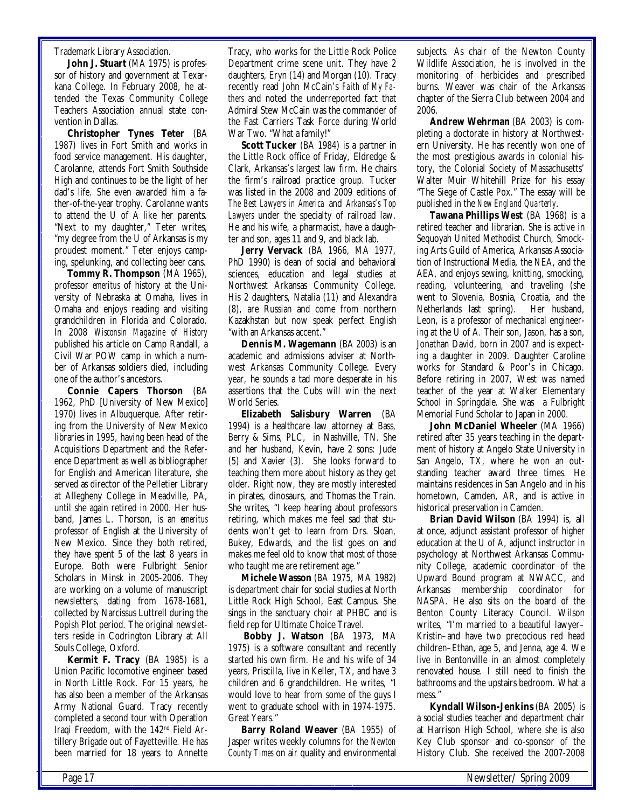#### Trademark Library Association.

**John J. Stuart** (MA 1975) is professor of history and government at Texarkana College. In February 2008, he attended the Texas Community College Teachers Association annual state convention in Dallas.

**Christopher Tynes Teter** (BA 1987) lives in Fort Smith and works in food service management. His daughter, Carolanne, attends Fort Smith Southside High and continues to be the light of her dad's life. She even awarded him a father-of-the-year trophy. Carolanne wants to attend the U of A like her parents. "Next to my daughter," Teter writes, "my degree from the U of Arkansas is my proudest moment." Teter enjoys camping, spelunking, and collecting beer cans.

**Tommy R. Thompson** (MA 1965), professor *emeritus* of history at the University of Nebraska at Omaha, lives in Omaha and enjoys reading and visiting grandchildren in Florida and Colorado. In 2008 *Wisconsin Magazine of History* published his article on Camp Randall, a Civil War POW camp in which a number of Arkansas soldiers died, including one of the author's ancestors.

**Connie Capers Thorson** (BA 1962, PhD [University of New Mexico] 1970) lives in Albuquerque. After retiring from the University of New Mexico libraries in 1995, having been head of the Acquisitions Department and the Reference Department as well as bibliographer for English and American literature, she served as director of the Pelletier Library at Allegheny College in Meadville, PA, until she again retired in 2000. Her husband, James L. Thorson, is an *emeritus* professor of English at the University of New Mexico. Since they both retired, they have spent 5 of the last 8 years in Europe. Both were Fulbright Senior Scholars in Minsk in 2005-2006. They are working on a volume of manuscript newsletters, dating from 1678-1681, collected by Narcissus Luttrell during the Popish Plot period. The original newsletters reside in Codrington Library at All Souls College, Oxford.

**Kermit F. Tracy** (BA 1985) is a Union Pacific locomotive engineer based in North Little Rock. For 15 years, he has also been a member of the Arkansas Army National Guard. Tracy recently completed a second tour with Operation Iraqi Freedom, with the 142nd Field Artillery Brigade out of Fayetteville. He has been married for 18 years to Annette Tracy, who works for the Little Rock Police Department crime scene unit. They have 2 daughters, Eryn (14) and Morgan (10). Tracy recently read John McCain's *Faith of My Fathers* and noted the underreported fact that Admiral Stew McCain was the commander of the Fast Carriers Task Force during World War Two. "What a family!"

**Scott Tucker** (BA 1984) is a partner in the Little Rock office of Friday, Eldredge & Clark, Arkansas's largest law firm. He chairs the firm's railroad practice group. Tucker was listed in the 2008 and 2009 editions of *The Best Lawyers in America* and *Arkansas's Top Lawyers* under the specialty of railroad law. He and his wife, a pharmacist, have a daughter and son, ages 11 and 9, and black lab.

**Jerry Vervack** (BA 1966, MA 1977, PhD 1990) is dean of social and behavioral sciences, education and legal studies at Northwest Arkansas Community College. His 2 daughters, Natalia (11) and Alexandra (8), are Russian and come from northern Kazakhstan but now speak perfect English "with an Arkansas accent."

**Dennis M. Wagemann** (BA 2003) is an academic and admissions adviser at Northwest Arkansas Community College. Every year, he sounds a tad more desperate in his assertions that the Cubs will win the next World Series.

**Elizabeth Salisbury Warren** (BA 1994) is a healthcare law attorney at Bass, Berry & Sims, PLC, in Nashville, TN. She and her husband, Kevin, have 2 sons: Jude (5) and Xavier (3). She looks forward to teaching them more about history as they get older. Right now, they are mostly interested in pirates, dinosaurs, and Thomas the Train. She writes, "I keep hearing about professors retiring, which makes me feel sad that students won't get to learn from Drs. Sloan, Bukey, Edwards, and the list goes on and makes me feel old to know that most of those who taught me are retirement age."

**Michele Wasson** (BA 1975, MA 1982) is department chair for social studies at North Little Rock High School, East Campus. She sings in the sanctuary choir at PHBC and is field rep for Ultimate Choice Travel.

**Bobby J. Watson** (BA 1973, MA 1975) is a software consultant and recently started his own firm. He and his wife of 34 years, Priscilla, live in Keller, TX, and have 3 children and 6 grandchildren. He writes, "I would love to hear from some of the guys I went to graduate school with in 1974-1975. Great Years."

**Barry Roland Weaver** (BA 1955) of Jasper writes weekly columns for the *Newton County Times* on air quality and environmental

subjects. As chair of the Newton County Wildlife Association, he is involved in the monitoring of herbicides and prescribed burns. Weaver was chair of the Arkansas chapter of the Sierra Club between 2004 and 2006.

**Andrew Wehrman** (BA 2003) is completing a doctorate in history at Northwestern University. He has recently won one of the most prestigious awards in colonial history, the Colonial Society of Massachusetts' Walter Muir Whitehill Prize for his essay "The Siege of Castle Pox." The essay will be published in the *New England Quarterly*.

**Tawana Phillips West** (BA 1968) is a retired teacher and librarian. She is active in Sequoyah United Methodist Church, Smocking Arts Guild of America, Arkansas Association of Instructional Media, the NEA, and the AEA, and enjoys sewing, knitting, smocking, reading, volunteering, and traveling (she went to Slovenia, Bosnia, Croatia, and the Netherlands last spring). Her husband, Leon, is a professor of mechanical engineering at the U of A. Their son, Jason, has a son, Jonathan David, born in 2007 and is expecting a daughter in 2009. Daughter Caroline works for Standard & Poor's in Chicago. Before retiring in 2007, West was named teacher of the year at Walker Elementary School in Springdale. She was a Fulbright Memorial Fund Scholar to Japan in 2000.

**John McDaniel Wheeler** (MA 1966) retired after 35 years teaching in the department of history at Angelo State University in San Angelo, TX, where he won an outstanding teacher award three times. He maintains residences in San Angelo and in his hometown, Camden, AR, and is active in historical preservation in Camden.

**Brian David Wilson** (BA 1994) is, all at once, adjunct assistant professor of higher education at the U of A, adjunct instructor in psychology at Northwest Arkansas Community College, academic coordinator of the Upward Bound program at NWACC, and Arkansas membership coordinator for NASPA. He also sits on the board of the Benton County Literacy Council. Wilson writes, "I'm married to a beautiful lawyer– Kristin–and have two precocious red head children–Ethan, age 5, and Jenna, age 4. We live in Bentonville in an almost completely renovated house. I still need to finish the bathrooms and the upstairs bedroom. What a mess."

**Kyndall Wilson-Jenkins** (BA 2005) is a social studies teacher and department chair at Harrison High School, where she is also Key Club sponsor and co-sponsor of the History Club. She received the 2007-2008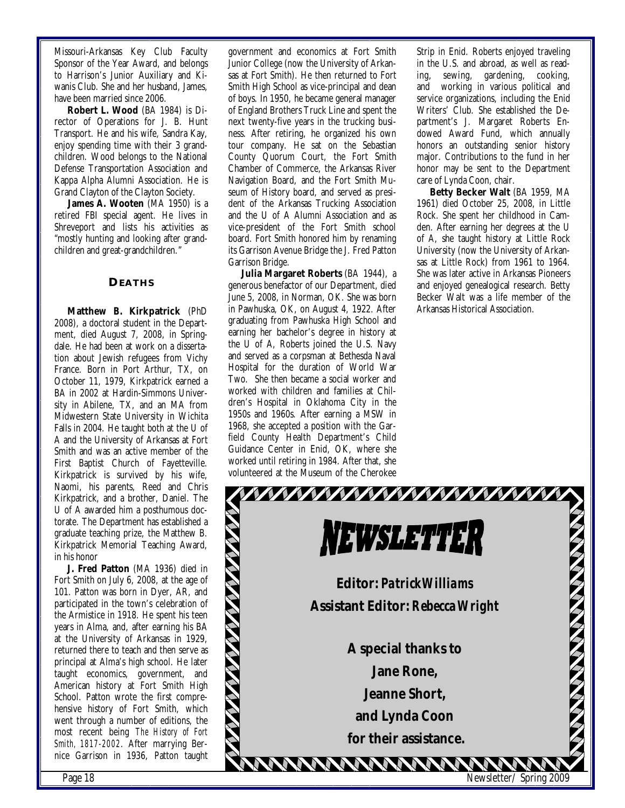Missouri-Arkansas Key Club Faculty Sponsor of the Year Award, and belongs to Harrison's Junior Auxiliary and Kiwanis Club. She and her husband, James, have been married since 2006.

**Robert L. Wood** (BA 1984) is Director of Operations for J. B. Hunt Transport. He and his wife, Sandra Kay, enjoy spending time with their 3 grandchildren. Wood belongs to the National Defense Transportation Association and Kappa Alpha Alumni Association. He is Grand Clayton of the Clayton Society.

James A. Wooten (MA 1950) is a retired FBI special agent. He lives in Shreveport and lists his activities as "mostly hunting and looking after grandchildren and great-grandchildren."

#### **DEATHS**

**Matthew B. Kirkpatrick** (PhD 2008), a doctoral student in the Department, died August 7, 2008, in Springdale. He had been at work on a dissertation about Jewish refugees from Vichy France. Born in Port Arthur, TX, on October 11, 1979, Kirkpatrick earned a BA in 2002 at Hardin-Simmons University in Abilene, TX, and an MA from Midwestern State University in Wichita Falls in 2004. He taught both at the U of A and the University of Arkansas at Fort Smith and was an active member of the First Baptist Church of Fayetteville. Kirkpatrick is survived by his wife, Naomi, his parents, Reed and Chris Kirkpatrick, and a brother, Daniel. The U of A awarded him a posthumous doctorate. The Department has established a graduate teaching prize, the Matthew B. Kirkpatrick Memorial Teaching Award, in his honor

**J. Fred Patton** (MA 1936) died in Fort Smith on July 6, 2008, at the age of 101. Patton was born in Dyer, AR, and participated in the town's celebration of the Armistice in 1918. He spent his teen years in Alma, and, after earning his BA at the University of Arkansas in 1929, returned there to teach and then serve as principal at Alma's high school. He later taught economics, government, and American history at Fort Smith High School. Patton wrote the first comprehensive history of Fort Smith, which went through a number of editions, the most recent being *The History of Fort Smith, 1817-2002*. After marrying Bernice Garrison in 1936, Patton taught

government and economics at Fort Smith Junior College (now the University of Arkansas at Fort Smith). He then returned to Fort Smith High School as vice-principal and dean of boys. In 1950, he became general manager of England Brothers Truck Line and spent the next twenty-five years in the trucking business. After retiring, he organized his own tour company. He sat on the Sebastian County Quorum Court, the Fort Smith Chamber of Commerce, the Arkansas River Navigation Board, and the Fort Smith Museum of History board, and served as president of the Arkansas Trucking Association and the U of A Alumni Association and as vice-president of the Fort Smith school board. Fort Smith honored him by renaming its Garrison Avenue Bridge the J. Fred Patton Garrison Bridge.

**Julia Margaret Roberts** (BA 1944), a generous benefactor of our Department, died June 5, 2008, in Norman, OK. She was born in Pawhuska, OK, on August 4, 1922. After graduating from Pawhuska High School and earning her bachelor's degree in history at the U of A, Roberts joined the U.S. Navy and served as a corpsman at Bethesda Naval Hospital for the duration of World War Two. She then became a social worker and worked with children and families at Children's Hospital in Oklahoma City in the 1950s and 1960s. After earning a MSW in 1968, she accepted a position with the Garfield County Health Department's Child Guidance Center in Enid, OK, where she worked until retiring in 1984. After that, she volunteered at the Museum of the Cherokee

Strip in Enid. Roberts enjoyed traveling in the U.S. and abroad, as well as reading, sewing, gardening, cooking, and working in various political and service organizations, including the Enid Writers' Club. She established the Department's J. Margaret Roberts Endowed Award Fund, which annually honors an outstanding senior history major. Contributions to the fund in her honor may be sent to the Department care of Lynda Coon, chair.

**Betty Becker Walt** (BA 1959, MA 1961) died October 25, 2008, in Little Rock. She spent her childhood in Camden. After earning her degrees at the U of A, she taught history at Little Rock University (now the University of Arkansas at Little Rock) from 1961 to 1964. She was later active in Arkansas Pioneers and enjoyed genealogical research. Betty Becker Walt was a life member of the Arkansas Historical Association.

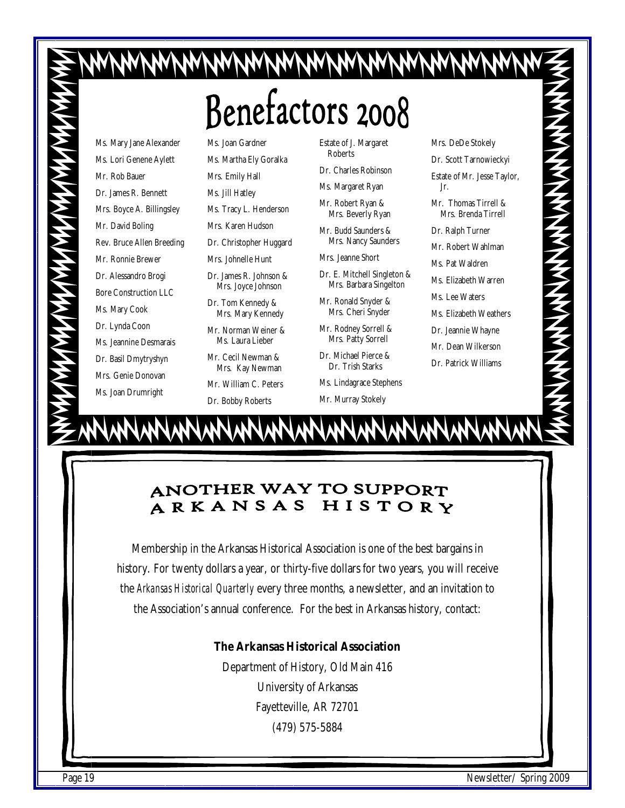# Benefactors 2008

Ms. Mary Jane Alexander Ms. Lori Genene Aylett Mr. Rob Bauer Dr. James R. Bennett Mrs. Boyce A. Billingsley Mr. David Boling Rev. Bruce Allen Breeding Mr. Ronnie Brewer Dr. Alessandro Brogi Bore Construction LLC Ms. Mary Cook Dr. Lynda Coon Ms. Jeannine Desmarais Dr. Basil Dmytryshyn Mrs. Genie Donovan Ms. Joan Drumright

Ms. Joan Gardner Ms. Martha Ely Goralka Mrs. Emily Hall Ms. Jill Hatley Ms. Tracy L. Henderson Mrs. Karen Hudson Dr. Christopher Huggard Mrs. Johnelle Hunt Dr. James R. Johnson & Mrs. Joyce Johnson Dr. Tom Kennedy & Mrs. Mary Kennedy

Mr. Norman Weiner & Ms. Laura Lieber

Mr. Cecil Newman & Mrs. Kay Newman

Mr. William C. Peters

Dr. Bobby Roberts

Estate of J. Margaret Roberts

Dr. Charles Robinson Ms. Margaret Ryan

Mr. Robert Ryan & Mrs. Beverly Ryan

Mr. Budd Saunders &

Mrs. Jeanne Short

Dr. E. Mitchell Singleton & Mrs. Barbara Singelton

Mrs. Nancy Saunders

Mr. Ronald Snyder & Mrs. Cheri Snyder

Mr. Rodney Sorrell & Mrs. Patty Sorrell

Dr. Michael Pierce & Dr. Trish Starks

- Ms. Lindagrace Stephens
- Mr. Murray Stokely

Mrs. DeDe Stokely Dr. Scott Tarnowieckyi Estate of Mr. Jesse Taylor, Mr. Thomas Tirrell & Mrs. Brenda Tirrell Dr. Ralph Turner Mr. Robert Wahlman Ms. Pat Waldren Ms. Elizabeth Warren Ms. Lee Waters Ms. Elizabeth Weathers Dr. Jeannie Whayne Mr. Dean Wilkerson Dr. Patrick Williams

ちくてんてんてん アイスイスマイス イスイスイス

Jr.

#### **ANOTHER WAY TO SUPPORT** ARKANSAS HISTORY

Membership in the Arkansas Historical Association is one of the best bargains in history. For twenty dollars a year, or thirty-five dollars for two years, you will receive the *Arkansas Historical Quarterly* every three months, a newsletter, and an invitation to the Association's annual conference. For the best in Arkansas history, contact:

# **The Arkansas Historical Association**

Department of History, Old Main 416

University of Arkansas Fayetteville, AR 72701 (479) 575-5884